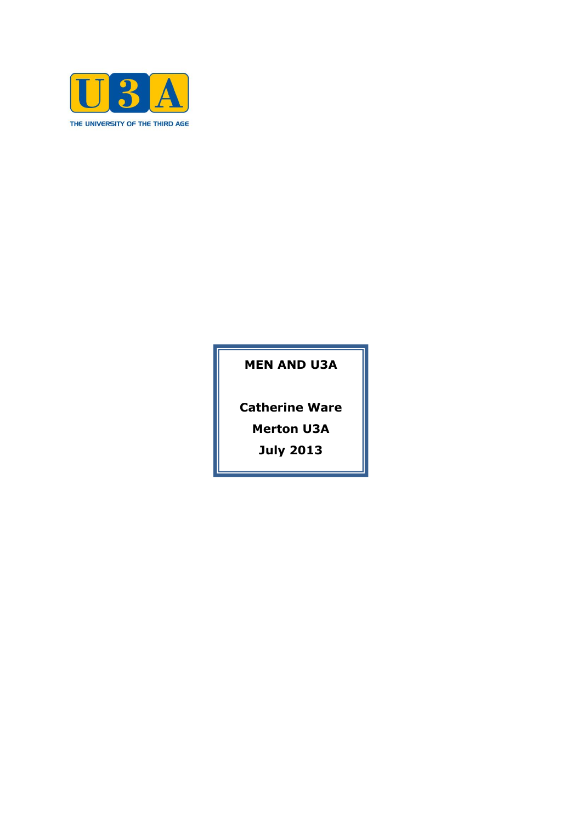

**MEN AND U3A**

**Catherine Ware**

**Merton U3A**

**July 2013**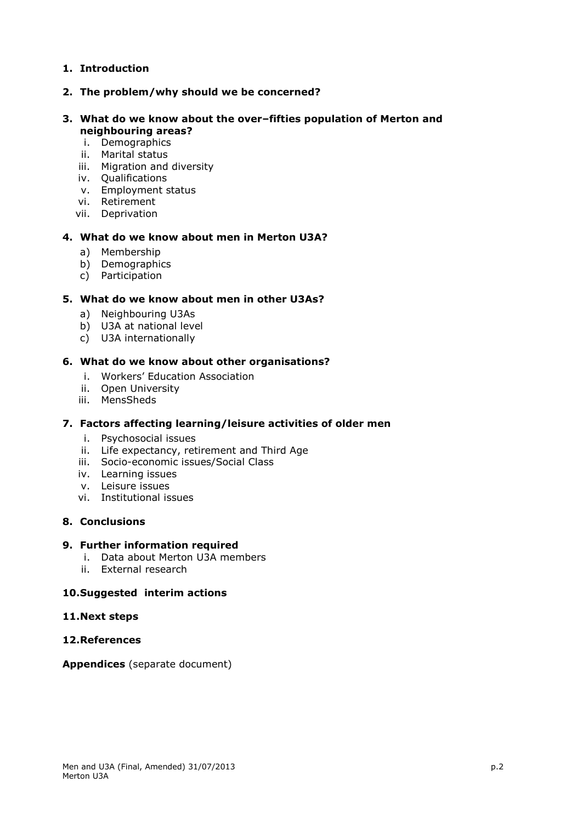# **1. Introduction**

## **2. The problem/why should we be concerned?**

### **3. What do we know about the over–fifties population of Merton and neighbouring areas?**

- i. Demographics
- ii. Marital status
- iii. Migration and diversity
- iv. Qualifications
- v. Employment status
- vi. Retirement
- vii. Deprivation

### **4. What do we know about men in Merton U3A?**

- a) Membership
- b) Demographics
- c) Participation

### **5. What do we know about men in other U3As?**

- a) Neighbouring U3As
- b) U3A at national level
- c) U3A internationally

### **6. What do we know about other organisations?**

- i. Workers' Education Association
- ii. Open University
- iii. MensSheds

## **7. Factors affecting learning/leisure activities of older men**

- i. Psychosocial issues
- ii. Life expectancy, retirement and Third Age
- iii. Socio-economic issues/Social Class
- iv. Learning issues
- v. Leisure issues
- vi. Institutional issues

## **8. Conclusions**

### **9. Further information required**

- i. Data about Merton U3A members
- ii. External research

## **10.Suggested interim actions**

### **11.Next steps**

## **12.References**

**Appendices** (separate document)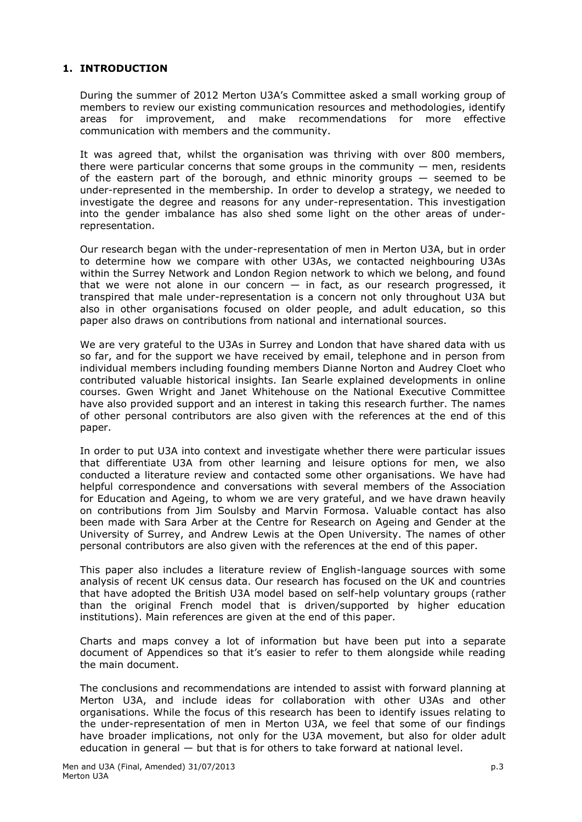# **1. INTRODUCTION**

During the summer of 2012 Merton U3A's Committee asked a small working group of members to review our existing communication resources and methodologies, identify areas for improvement, and make recommendations for more effective communication with members and the community.

It was agreed that, whilst the organisation was thriving with over 800 members, there were particular concerns that some groups in the community  $-$  men, residents of the eastern part of the borough, and ethnic minority groups — seemed to be under-represented in the membership. In order to develop a strategy, we needed to investigate the degree and reasons for any under-representation. This investigation into the gender imbalance has also shed some light on the other areas of underrepresentation.

Our research began with the under-representation of men in Merton U3A, but in order to determine how we compare with other U3As, we contacted neighbouring U3As within the Surrey Network and London Region network to which we belong, and found that we were not alone in our concern  $-$  in fact, as our research progressed, it transpired that male under-representation is a concern not only throughout U3A but also in other organisations focused on older people, and adult education, so this paper also draws on contributions from national and international sources.

We are very grateful to the U3As in Surrey and London that have shared data with us so far, and for the support we have received by email, telephone and in person from individual members including founding members Dianne Norton and Audrey Cloet who contributed valuable historical insights. Ian Searle explained developments in online courses. Gwen Wright and Janet Whitehouse on the National Executive Committee have also provided support and an interest in taking this research further. The names of other personal contributors are also given with the references at the end of this paper.

In order to put U3A into context and investigate whether there were particular issues that differentiate U3A from other learning and leisure options for men, we also conducted a literature review and contacted some other organisations. We have had helpful correspondence and conversations with several members of the Association for Education and Ageing, to whom we are very grateful, and we have drawn heavily on contributions from Jim Soulsby and Marvin Formosa. Valuable contact has also been made with Sara Arber at the Centre for Research on Ageing and Gender at the University of Surrey, and Andrew Lewis at the Open University. The names of other personal contributors are also given with the references at the end of this paper.

This paper also includes a literature review of English-language sources with some analysis of recent UK census data. Our research has focused on the UK and countries that have adopted the British U3A model based on self-help voluntary groups (rather than the original French model that is driven/supported by higher education institutions). Main references are given at the end of this paper.

Charts and maps convey a lot of information but have been put into a separate document of Appendices so that it's easier to refer to them alongside while reading the main document.

The conclusions and recommendations are intended to assist with forward planning at Merton U3A, and include ideas for collaboration with other U3As and other organisations. While the focus of this research has been to identify issues relating to the under-representation of men in Merton U3A, we feel that some of our findings have broader implications, not only for the U3A movement, but also for older adult education in general — but that is for others to take forward at national level.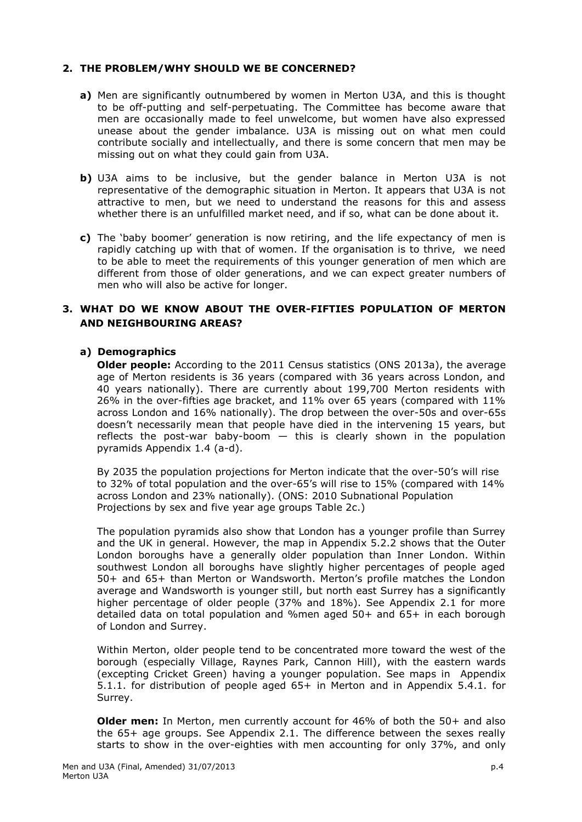### **2. THE PROBLEM/WHY SHOULD WE BE CONCERNED?**

- **a)** Men are significantly outnumbered by women in Merton U3A, and this is thought to be off-putting and self-perpetuating. The Committee has become aware that men are occasionally made to feel unwelcome, but women have also expressed unease about the gender imbalance. U3A is missing out on what men could contribute socially and intellectually, and there is some concern that men may be missing out on what they could gain from U3A.
- **b)** U3A aims to be inclusive, but the gender balance in Merton U3A is not representative of the demographic situation in Merton. It appears that U3A is not attractive to men, but we need to understand the reasons for this and assess whether there is an unfulfilled market need, and if so, what can be done about it.
- **c)** The 'baby boomer' generation is now retiring, and the life expectancy of men is rapidly catching up with that of women. If the organisation is to thrive, we need to be able to meet the requirements of this younger generation of men which are different from those of older generations, and we can expect greater numbers of men who will also be active for longer.

## **3. WHAT DO WE KNOW ABOUT THE OVER-FIFTIES POPULATION OF MERTON AND NEIGHBOURING AREAS?**

### **a) Demographics**

**Older people:** According to the 2011 Census statistics (ONS 2013a), the average age of Merton residents is 36 years (compared with 36 years across London, and 40 years nationally). There are currently about 199,700 Merton residents with 26% in the over-fifties age bracket, and 11% over 65 years (compared with 11% across London and 16% nationally). The drop between the over-50s and over-65s doesn't necessarily mean that people have died in the intervening 15 years, but reflects the post-war baby-boom — this is clearly shown in the population pyramids Appendix 1.4 (a-d).

By 2035 the population projections for Merton indicate that the over-50's will rise to 32% of total population and the over-65's will rise to 15% (compared with 14% across London and 23% nationally). (ONS: 2010 Subnational Population Projections by sex and five year age groups Table 2c.)

The population pyramids also show that London has a younger profile than Surrey and the UK in general. However, the map in Appendix 5.2.2 shows that the Outer London boroughs have a generally older population than Inner London. Within southwest London all boroughs have slightly higher percentages of people aged 50+ and 65+ than Merton or Wandsworth. Merton's profile matches the London average and Wandsworth is younger still, but north east Surrey has a significantly higher percentage of older people (37% and 18%). See Appendix 2.1 for more detailed data on total population and %men aged 50+ and 65+ in each borough of London and Surrey.

Within Merton, older people tend to be concentrated more toward the west of the borough (especially Village, Raynes Park, Cannon Hill), with the eastern wards (excepting Cricket Green) having a younger population. See maps in Appendix 5.1.1. for distribution of people aged 65+ in Merton and in Appendix 5.4.1. for Surrey.

**Older men:** In Merton, men currently account for 46% of both the 50+ and also the 65+ age groups. See Appendix 2.1. The difference between the sexes really starts to show in the over-eighties with men accounting for only 37%, and only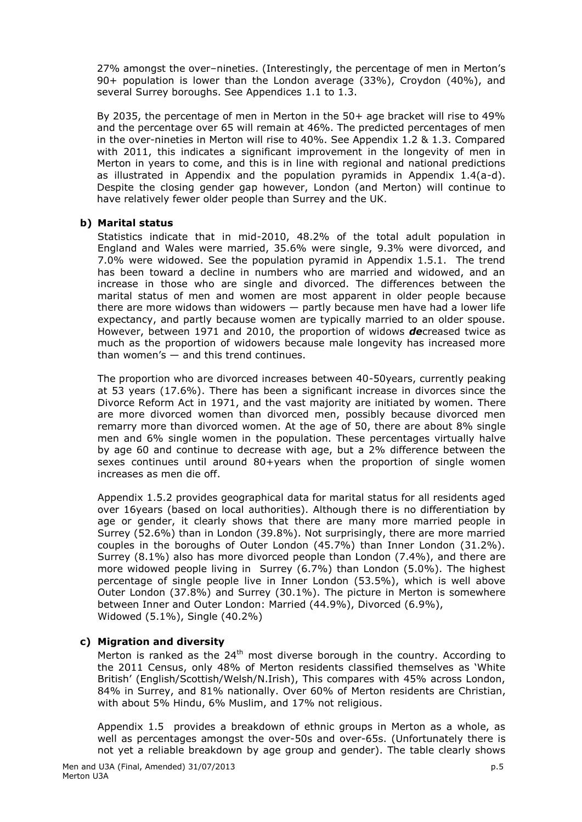27% amongst the over–nineties. (Interestingly, the percentage of men in Merton's 90+ population is lower than the London average (33%), Croydon (40%), and several Surrey boroughs. See Appendices 1.1 to 1.3.

By 2035, the percentage of men in Merton in the 50+ age bracket will rise to 49% and the percentage over 65 will remain at 46%. The predicted percentages of men in the over-nineties in Merton will rise to 40%. See Appendix 1.2 & 1.3. Compared with 2011, this indicates a significant improvement in the longevity of men in Merton in years to come, and this is in line with regional and national predictions as illustrated in Appendix and the population pyramids in Appendix  $1.4(a-d)$ . Despite the closing gender gap however, London (and Merton) will continue to have relatively fewer older people than Surrey and the UK.

### **b) Marital status**

Statistics indicate that in mid-2010, 48.2% of the total adult population in England and Wales were married, 35.6% were single, 9.3% were divorced, and 7.0% were widowed. See the population pyramid in Appendix 1.5.1. The trend has been toward a decline in numbers who are married and widowed, and an increase in those who are single and divorced. The differences between the marital status of men and women are most apparent in older people because there are more widows than widowers — partly because men have had a lower life expectancy, and partly because women are typically married to an older spouse. However, between 1971 and 2010, the proportion of widows *de*creased twice as much as the proportion of widowers because male longevity has increased more than women's  $-$  and this trend continues.

The proportion who are divorced increases between 40-50years, currently peaking at 53 years (17.6%). There has been a significant increase in divorces since the Divorce Reform Act in 1971, and the vast majority are initiated by women. There are more divorced women than divorced men, possibly because divorced men remarry more than divorced women. At the age of 50, there are about 8% single men and 6% single women in the population. These percentages virtually halve by age 60 and continue to decrease with age, but a 2% difference between the sexes continues until around 80+years when the proportion of single women increases as men die off.

Appendix 1.5.2 provides geographical data for marital status for all residents aged over 16years (based on local authorities). Although there is no differentiation by age or gender, it clearly shows that there are many more married people in Surrey (52.6%) than in London (39.8%). Not surprisingly, there are more married couples in the boroughs of Outer London (45.7%) than Inner London (31.2%). Surrey (8.1%) also has more divorced people than London (7.4%), and there are more widowed people living in Surrey (6.7%) than London (5.0%). The highest percentage of single people live in Inner London (53.5%), which is well above Outer London (37.8%) and Surrey (30.1%). The picture in Merton is somewhere between Inner and Outer London: Married (44.9%), Divorced (6.9%), Widowed (5.1%), Single (40.2%)

### **c) Migration and diversity**

Merton is ranked as the  $24<sup>th</sup>$  most diverse borough in the country. According to the 2011 Census, only 48% of Merton residents classified themselves as 'White British' (English/Scottish/Welsh/N.Irish), This compares with 45% across London, 84% in Surrey, and 81% nationally. Over 60% of Merton residents are Christian, with about 5% Hindu, 6% Muslim, and 17% not religious.

Appendix 1.5 provides a breakdown of ethnic groups in Merton as a whole, as well as percentages amongst the over-50s and over-65s. (Unfortunately there is not yet a reliable breakdown by age group and gender). The table clearly shows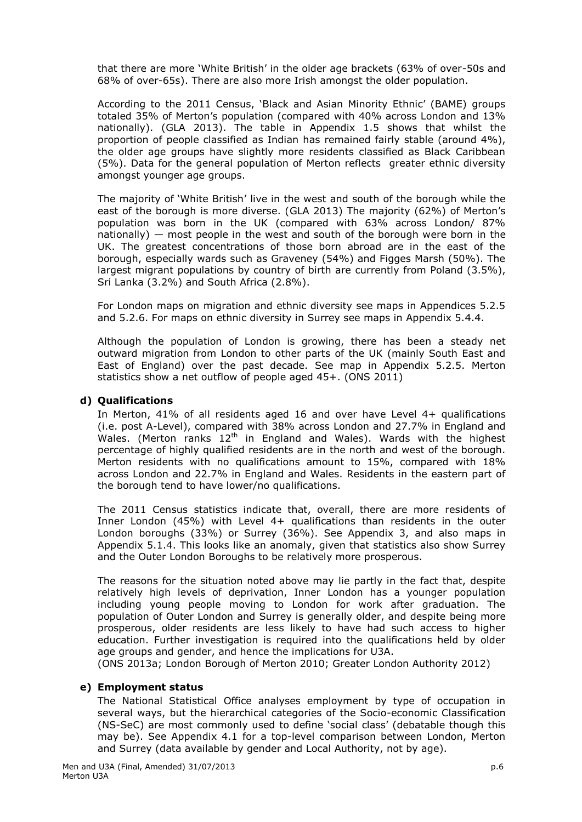that there are more 'White British' in the older age brackets (63% of over-50s and 68% of over-65s). There are also more Irish amongst the older population.

According to the 2011 Census, 'Black and Asian Minority Ethnic' (BAME) groups totaled 35% of Merton's population (compared with 40% across London and 13% nationally). (GLA 2013). The table in Appendix 1.5 shows that whilst the proportion of people classified as Indian has remained fairly stable (around 4%), the older age groups have slightly more residents classified as Black Caribbean (5%). Data for the general population of Merton reflects greater ethnic diversity amongst younger age groups.

The majority of 'White British' live in the west and south of the borough while the east of the borough is more diverse. (GLA 2013) The majority (62%) of Merton's population was born in the UK (compared with 63% across London/ 87% nationally) — most people in the west and south of the borough were born in the UK. The greatest concentrations of those born abroad are in the east of the borough, especially wards such as Graveney (54%) and Figges Marsh (50%). The largest migrant populations by country of birth are currently from Poland (3.5%), Sri Lanka (3.2%) and South Africa (2.8%).

For London maps on migration and ethnic diversity see maps in Appendices 5.2.5 and 5.2.6. For maps on ethnic diversity in Surrey see maps in Appendix 5.4.4.

Although the population of London is growing, there has been a steady net outward migration from London to other parts of the UK (mainly South East and East of England) over the past decade. See map in Appendix 5.2.5. Merton statistics show a net outflow of people aged 45+. (ONS 2011)

### **d) Qualifications**

In Merton, 41% of all residents aged 16 and over have Level 4+ qualifications (i.e. post A-Level), compared with 38% across London and 27.7% in England and Wales. (Merton ranks 12<sup>th</sup> in England and Wales). Wards with the highest percentage of highly qualified residents are in the north and west of the borough. Merton residents with no qualifications amount to 15%, compared with 18% across London and 22.7% in England and Wales. Residents in the eastern part of the borough tend to have lower/no qualifications.

The 2011 Census statistics indicate that, overall, there are more residents of Inner London (45%) with Level 4+ qualifications than residents in the outer London boroughs (33%) or Surrey (36%). See Appendix 3, and also maps in Appendix 5.1.4. This looks like an anomaly, given that statistics also show Surrey and the Outer London Boroughs to be relatively more prosperous.

The reasons for the situation noted above may lie partly in the fact that, despite relatively high levels of deprivation, Inner London has a younger population including young people moving to London for work after graduation. The population of Outer London and Surrey is generally older, and despite being more prosperous, older residents are less likely to have had such access to higher education. Further investigation is required into the qualifications held by older age groups and gender, and hence the implications for U3A.

(ONS 2013a; London Borough of Merton 2010; Greater London Authority 2012)

### **e) Employment status**

The National Statistical Office analyses employment by type of occupation in several ways, but the hierarchical categories of the Socio-economic Classification (NS-SeC) are most commonly used to define 'social class' (debatable though this may be). See Appendix 4.1 for a top-level comparison between London, Merton and Surrey (data available by gender and Local Authority, not by age).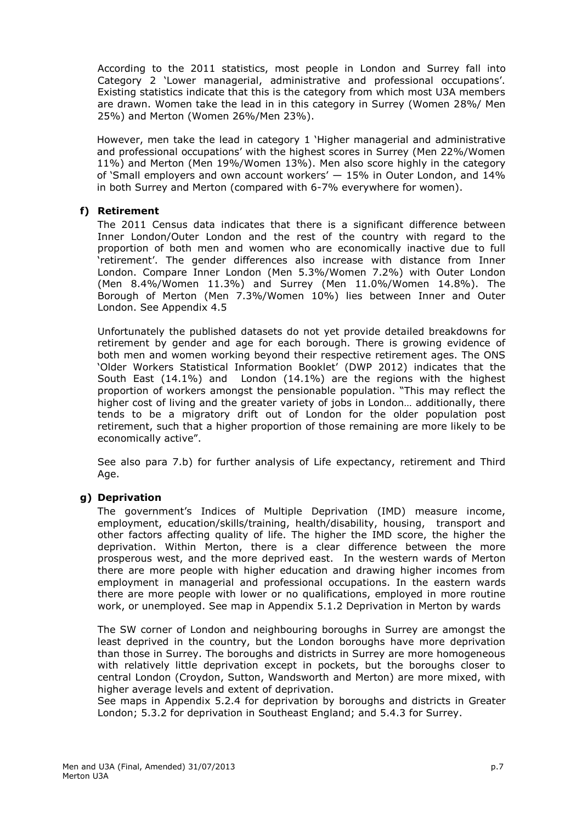According to the 2011 statistics, most people in London and Surrey fall into Category 2 'Lower managerial, administrative and professional occupations'. Existing statistics indicate that this is the category from which most U3A members are drawn. Women take the lead in in this category in Surrey (Women 28%/ Men 25%) and Merton (Women 26%/Men 23%).

However, men take the lead in category 1 'Higher managerial and administrative and professional occupations' with the highest scores in Surrey (Men 22%/Women 11%) and Merton (Men 19%/Women 13%). Men also score highly in the category of 'Small employers and own account workers' — 15% in Outer London, and 14% in both Surrey and Merton (compared with 6-7% everywhere for women).

### **f) Retirement**

The 2011 Census data indicates that there is a significant difference between Inner London/Outer London and the rest of the country with regard to the proportion of both men and women who are economically inactive due to full 'retirement'. The gender differences also increase with distance from Inner London. Compare Inner London (Men 5.3%/Women 7.2%) with Outer London (Men 8.4%/Women 11.3%) and Surrey (Men 11.0%/Women 14.8%). The Borough of Merton (Men 7.3%/Women 10%) lies between Inner and Outer London. See Appendix 4.5

Unfortunately the published datasets do not yet provide detailed breakdowns for retirement by gender and age for each borough. There is growing evidence of both men and women working beyond their respective retirement ages. The ONS 'Older Workers Statistical Information Booklet' (DWP 2012) indicates that the South East (14.1%) and London (14.1%) are the regions with the highest proportion of workers amongst the pensionable population. "This may reflect the higher cost of living and the greater variety of jobs in London… additionally, there tends to be a migratory drift out of London for the older population post retirement, such that a higher proportion of those remaining are more likely to be economically active".

See also para 7.b) for further analysis of Life expectancy, retirement and Third Age.

### **g) Deprivation**

The government's Indices of Multiple Deprivation (IMD) measure income, employment, education/skills/training, health/disability, housing, transport and other factors affecting quality of life. The higher the IMD score, the higher the deprivation. Within Merton, there is a clear difference between the more prosperous west, and the more deprived east. In the western wards of Merton there are more people with higher education and drawing higher incomes from employment in managerial and professional occupations. In the eastern wards there are more people with lower or no qualifications, employed in more routine work, or unemployed. See map in Appendix 5.1.2 Deprivation in Merton by wards

The SW corner of London and neighbouring boroughs in Surrey are amongst the least deprived in the country, but the London boroughs have more deprivation than those in Surrey. The boroughs and districts in Surrey are more homogeneous with relatively little deprivation except in pockets, but the boroughs closer to central London (Croydon, Sutton, Wandsworth and Merton) are more mixed, with higher average levels and extent of deprivation.

See maps in Appendix 5.2.4 for deprivation by boroughs and districts in Greater London; 5.3.2 for deprivation in Southeast England; and 5.4.3 for Surrey.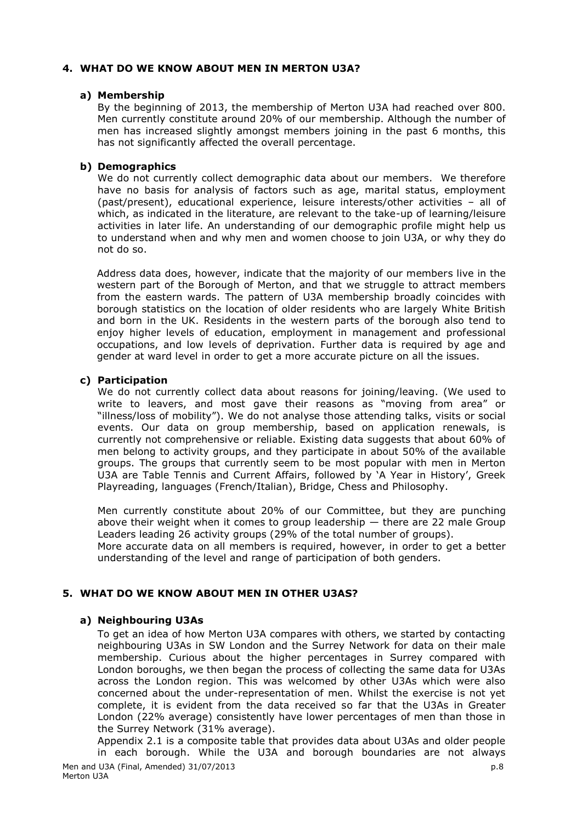## **4. WHAT DO WE KNOW ABOUT MEN IN MERTON U3A?**

### **a) Membership**

By the beginning of 2013, the membership of Merton U3A had reached over 800. Men currently constitute around 20% of our membership. Although the number of men has increased slightly amongst members joining in the past 6 months, this has not significantly affected the overall percentage.

## **b) Demographics**

We do not currently collect demographic data about our members. We therefore have no basis for analysis of factors such as age, marital status, employment (past/present), educational experience, leisure interests/other activities – all of which, as indicated in the literature, are relevant to the take-up of learning/leisure activities in later life. An understanding of our demographic profile might help us to understand when and why men and women choose to join U3A, or why they do not do so.

Address data does, however, indicate that the majority of our members live in the western part of the Borough of Merton, and that we struggle to attract members from the eastern wards. The pattern of U3A membership broadly coincides with borough statistics on the location of older residents who are largely White British and born in the UK. Residents in the western parts of the borough also tend to enjoy higher levels of education, employment in management and professional occupations, and low levels of deprivation. Further data is required by age and gender at ward level in order to get a more accurate picture on all the issues.

### **c) Participation**

We do not currently collect data about reasons for joining/leaving. (We used to write to leavers, and most gave their reasons as "moving from area" or "illness/loss of mobility"). We do not analyse those attending talks, visits or social events. Our data on group membership, based on application renewals, is currently not comprehensive or reliable. Existing data suggests that about 60% of men belong to activity groups, and they participate in about 50% of the available groups. The groups that currently seem to be most popular with men in Merton U3A are Table Tennis and Current Affairs, followed by 'A Year in History', Greek Playreading, languages (French/Italian), Bridge, Chess and Philosophy.

Men currently constitute about 20% of our Committee, but they are punching above their weight when it comes to group leadership  $-$  there are 22 male Group Leaders leading 26 activity groups (29% of the total number of groups).

More accurate data on all members is required, however, in order to get a better understanding of the level and range of participation of both genders.

## **5. WHAT DO WE KNOW ABOUT MEN IN OTHER U3AS?**

## **a) Neighbouring U3As**

To get an idea of how Merton U3A compares with others, we started by contacting neighbouring U3As in SW London and the Surrey Network for data on their male membership. Curious about the higher percentages in Surrey compared with London boroughs, we then began the process of collecting the same data for U3As across the London region. This was welcomed by other U3As which were also concerned about the under-representation of men. Whilst the exercise is not yet complete, it is evident from the data received so far that the U3As in Greater London (22% average) consistently have lower percentages of men than those in the Surrey Network (31% average).

Appendix 2.1 is a composite table that provides data about U3As and older people in each borough. While the U3A and borough boundaries are not always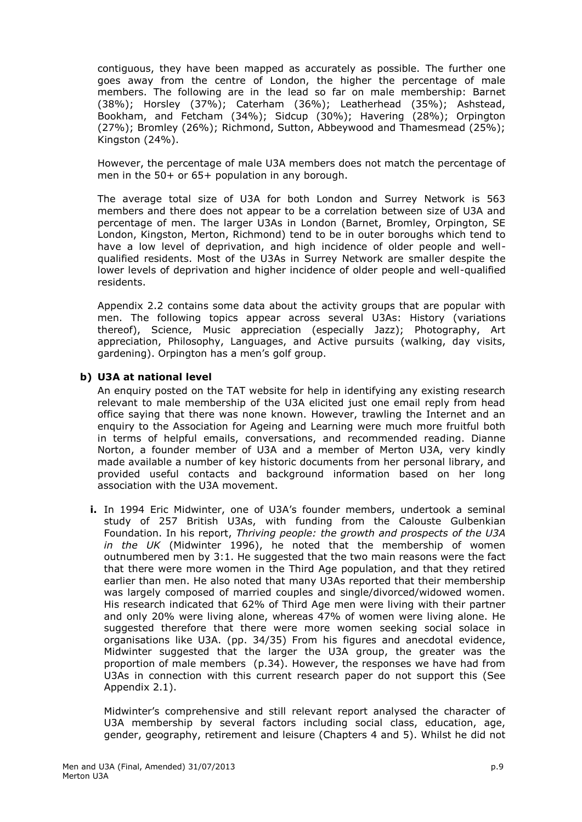contiguous, they have been mapped as accurately as possible. The further one goes away from the centre of London, the higher the percentage of male members. The following are in the lead so far on male membership: Barnet (38%); Horsley (37%); Caterham (36%); Leatherhead (35%); Ashstead, Bookham, and Fetcham (34%); Sidcup (30%); Havering (28%); Orpington (27%); Bromley (26%); Richmond, Sutton, Abbeywood and Thamesmead (25%); Kingston (24%).

However, the percentage of male U3A members does not match the percentage of men in the 50+ or 65+ population in any borough.

The average total size of U3A for both London and Surrey Network is 563 members and there does not appear to be a correlation between size of U3A and percentage of men. The larger U3As in London (Barnet, Bromley, Orpington, SE London, Kingston, Merton, Richmond) tend to be in outer boroughs which tend to have a low level of deprivation, and high incidence of older people and wellqualified residents. Most of the U3As in Surrey Network are smaller despite the lower levels of deprivation and higher incidence of older people and well-qualified residents.

Appendix 2.2 contains some data about the activity groups that are popular with men. The following topics appear across several U3As: History (variations thereof), Science, Music appreciation (especially Jazz); Photography, Art appreciation, Philosophy, Languages, and Active pursuits (walking, day visits, gardening). Orpington has a men's golf group.

### **b) U3A at national level**

An enquiry posted on the TAT website for help in identifying any existing research relevant to male membership of the U3A elicited just one email reply from head office saying that there was none known. However, trawling the Internet and an enquiry to the Association for Ageing and Learning were much more fruitful both in terms of helpful emails, conversations, and recommended reading. Dianne Norton, a founder member of U3A and a member of Merton U3A, very kindly made available a number of key historic documents from her personal library, and provided useful contacts and background information based on her long association with the U3A movement.

**i.** In 1994 Eric Midwinter, one of U3A's founder members, undertook a seminal study of 257 British U3As, with funding from the Calouste Gulbenkian Foundation. In his report, *Thriving people: the growth and prospects of the U3A in the UK* (Midwinter 1996), he noted that the membership of women outnumbered men by 3:1. He suggested that the two main reasons were the fact that there were more women in the Third Age population, and that they retired earlier than men. He also noted that many U3As reported that their membership was largely composed of married couples and single/divorced/widowed women. His research indicated that 62% of Third Age men were living with their partner and only 20% were living alone, whereas 47% of women were living alone. He suggested therefore that there were more women seeking social solace in organisations like U3A. (pp. 34/35) From his figures and anecdotal evidence, Midwinter suggested that the larger the U3A group, the greater was the proportion of male members (p.34). However, the responses we have had from U3As in connection with this current research paper do not support this (See Appendix 2.1).

Midwinter's comprehensive and still relevant report analysed the character of U3A membership by several factors including social class, education, age, gender, geography, retirement and leisure (Chapters 4 and 5). Whilst he did not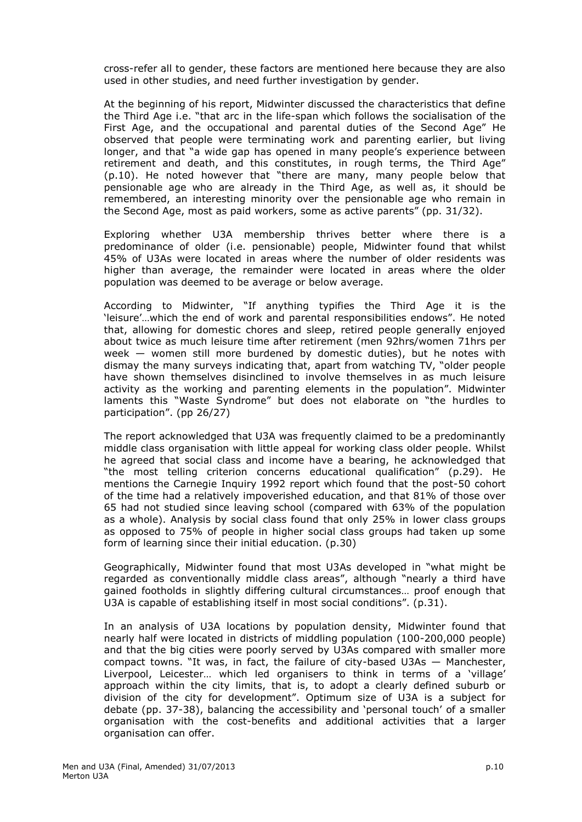cross-refer all to gender, these factors are mentioned here because they are also used in other studies, and need further investigation by gender.

At the beginning of his report, Midwinter discussed the characteristics that define the Third Age i.e. "that arc in the life-span which follows the socialisation of the First Age, and the occupational and parental duties of the Second Age" He observed that people were terminating work and parenting earlier, but living longer, and that "a wide gap has opened in many people's experience between retirement and death, and this constitutes, in rough terms, the Third Age" (p.10). He noted however that "there are many, many people below that pensionable age who are already in the Third Age, as well as, it should be remembered, an interesting minority over the pensionable age who remain in the Second Age, most as paid workers, some as active parents" (pp. 31/32).

Exploring whether U3A membership thrives better where there is a predominance of older (i.e. pensionable) people, Midwinter found that whilst 45% of U3As were located in areas where the number of older residents was higher than average, the remainder were located in areas where the older population was deemed to be average or below average.

According to Midwinter, "If anything typifies the Third Age it is the 'leisure'…which the end of work and parental responsibilities endows". He noted that, allowing for domestic chores and sleep, retired people generally enjoyed about twice as much leisure time after retirement (men 92hrs/women 71hrs per week — women still more burdened by domestic duties), but he notes with dismay the many surveys indicating that, apart from watching TV, "older people have shown themselves disinclined to involve themselves in as much leisure activity as the working and parenting elements in the population". Midwinter laments this "Waste Syndrome" but does not elaborate on "the hurdles to participation". (pp 26/27)

The report acknowledged that U3A was frequently claimed to be a predominantly middle class organisation with little appeal for working class older people. Whilst he agreed that social class and income have a bearing, he acknowledged that "the most telling criterion concerns educational qualification" (p.29). He mentions the Carnegie Inquiry 1992 report which found that the post-50 cohort of the time had a relatively impoverished education, and that 81% of those over 65 had not studied since leaving school (compared with 63% of the population as a whole). Analysis by social class found that only 25% in lower class groups as opposed to 75% of people in higher social class groups had taken up some form of learning since their initial education. (p.30)

Geographically, Midwinter found that most U3As developed in "what might be regarded as conventionally middle class areas", although "nearly a third have gained footholds in slightly differing cultural circumstances… proof enough that U3A is capable of establishing itself in most social conditions". (p.31).

In an analysis of U3A locations by population density, Midwinter found that nearly half were located in districts of middling population (100-200,000 people) and that the big cities were poorly served by U3As compared with smaller more compact towns. "It was, in fact, the failure of city-based U3As — Manchester, Liverpool, Leicester… which led organisers to think in terms of a 'village' approach within the city limits, that is, to adopt a clearly defined suburb or division of the city for development". Optimum size of U3A is a subject for debate (pp. 37-38), balancing the accessibility and 'personal touch' of a smaller organisation with the cost-benefits and additional activities that a larger organisation can offer.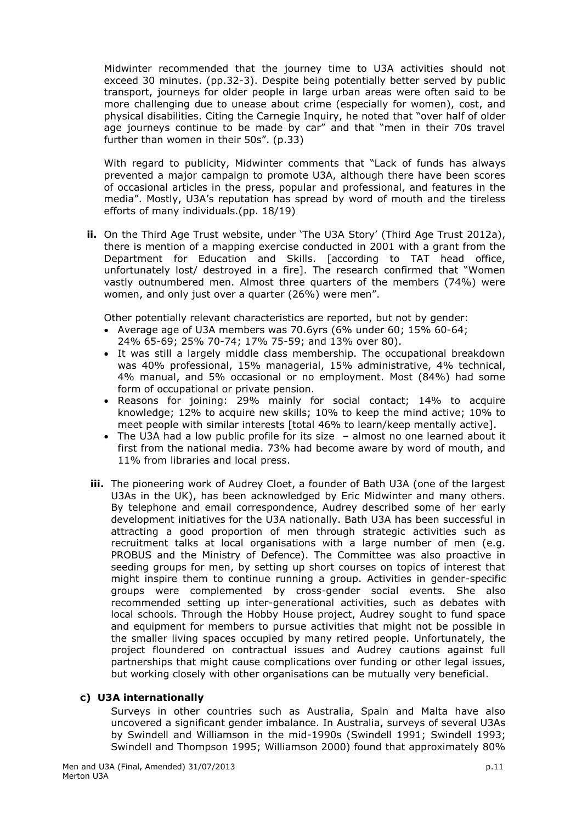Midwinter recommended that the journey time to U3A activities should not exceed 30 minutes. (pp.32-3). Despite being potentially better served by public transport, journeys for older people in large urban areas were often said to be more challenging due to unease about crime (especially for women), cost, and physical disabilities. Citing the Carnegie Inquiry, he noted that "over half of older age journeys continue to be made by car" and that "men in their 70s travel further than women in their 50s". (p.33)

With regard to publicity, Midwinter comments that "Lack of funds has always prevented a major campaign to promote U3A, although there have been scores of occasional articles in the press, popular and professional, and features in the media". Mostly, U3A's reputation has spread by word of mouth and the tireless efforts of many individuals.(pp. 18/19)

**ii.** On the Third Age Trust website, under 'The U3A Story' (Third Age Trust 2012a), there is mention of a mapping exercise conducted in 2001 with a grant from the Department for Education and Skills. [according to TAT head office, unfortunately lost/ destroyed in a fire]. The research confirmed that "Women vastly outnumbered men. Almost three quarters of the members (74%) were women, and only just over a quarter (26%) were men".

Other potentially relevant characteristics are reported, but not by gender:

- Average age of U3A members was 70.6yrs (6% under 60; 15% 60-64; 24% 65-69; 25% 70-74; 17% 75-59; and 13% over 80).
- It was still a largely middle class membership. The occupational breakdown was 40% professional, 15% managerial, 15% administrative, 4% technical, 4% manual, and 5% occasional or no employment. Most (84%) had some form of occupational or private pension.
- Reasons for joining: 29% mainly for social contact; 14% to acquire knowledge; 12% to acquire new skills; 10% to keep the mind active; 10% to meet people with similar interests [total 46% to learn/keep mentally active].
- The U3A had a low public profile for its size almost no one learned about it first from the national media. 73% had become aware by word of mouth, and 11% from libraries and local press.
- **iii.** The pioneering work of Audrey Cloet, a founder of Bath U3A (one of the largest U3As in the UK), has been acknowledged by Eric Midwinter and many others. By telephone and email correspondence, Audrey described some of her early development initiatives for the U3A nationally. Bath U3A has been successful in attracting a good proportion of men through strategic activities such as recruitment talks at local organisations with a large number of men (e.g. PROBUS and the Ministry of Defence). The Committee was also proactive in seeding groups for men, by setting up short courses on topics of interest that might inspire them to continue running a group. Activities in gender-specific groups were complemented by cross-gender social events. She also recommended setting up inter-generational activities, such as debates with local schools. Through the Hobby House project, Audrey sought to fund space and equipment for members to pursue activities that might not be possible in the smaller living spaces occupied by many retired people. Unfortunately, the project floundered on contractual issues and Audrey cautions against full partnerships that might cause complications over funding or other legal issues, but working closely with other organisations can be mutually very beneficial.

### **c) U3A internationally**

Surveys in other countries such as Australia, Spain and Malta have also uncovered a significant gender imbalance. In Australia, surveys of several U3As by Swindell and Williamson in the mid-1990s (Swindell 1991; Swindell 1993; Swindell and Thompson 1995; Williamson 2000) found that approximately 80%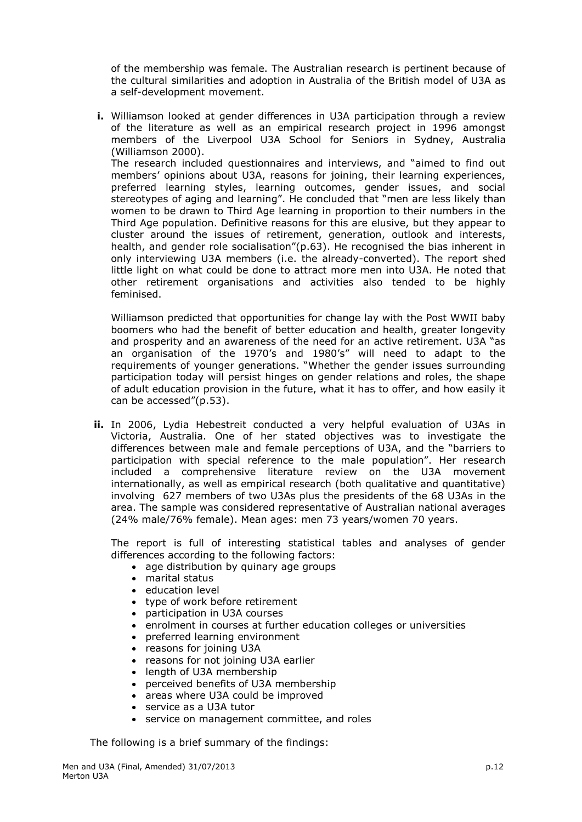of the membership was female. The Australian research is pertinent because of the cultural similarities and adoption in Australia of the British model of U3A as a self-development movement.

**i.** Williamson looked at gender differences in U3A participation through a review of the literature as well as an empirical research project in 1996 amongst members of the Liverpool U3A School for Seniors in Sydney, Australia (Williamson 2000). The research included questionnaires and interviews, and "aimed to find out members' opinions about U3A, reasons for joining, their learning experiences, preferred learning styles, learning outcomes, gender issues, and social stereotypes of aging and learning". He concluded that "men are less likely than women to be drawn to Third Age learning in proportion to their numbers in the Third Age population. Definitive reasons for this are elusive, but they appear to cluster around the issues of retirement, generation, outlook and interests, health, and gender role socialisation"(p.63). He recognised the bias inherent in only interviewing U3A members (i.e. the already-converted). The report shed little light on what could be done to attract more men into U3A. He noted that other retirement organisations and activities also tended to be highly feminised.

Williamson predicted that opportunities for change lay with the Post WWII baby boomers who had the benefit of better education and health, greater longevity and prosperity and an awareness of the need for an active retirement. U3A "as an organisation of the 1970's and 1980's" will need to adapt to the requirements of younger generations. "Whether the gender issues surrounding participation today will persist hinges on gender relations and roles, the shape of adult education provision in the future, what it has to offer, and how easily it can be accessed"(p.53).

**ii.** In 2006, Lydia Hebestreit conducted a very helpful evaluation of U3As in Victoria, Australia. One of her stated objectives was to investigate the differences between male and female perceptions of U3A, and the "barriers to participation with special reference to the male population". Her research included a comprehensive literature review on the U3A movement internationally, as well as empirical research (both qualitative and quantitative) involving 627 members of two U3As plus the presidents of the 68 U3As in the area. The sample was considered representative of Australian national averages (24% male/76% female). Mean ages: men 73 years/women 70 years.

The report is full of interesting statistical tables and analyses of gender differences according to the following factors:

- age distribution by quinary age groups
- marital status
- education level
- type of work before retirement
- participation in U3A courses
- enrolment in courses at further education colleges or universities
- preferred learning environment
- reasons for joining U3A
- reasons for not joining U3A earlier
- length of U3A membership
- perceived benefits of U3A membership
- areas where U3A could be improved
- service as a U3A tutor
- service on management committee, and roles

The following is a brief summary of the findings: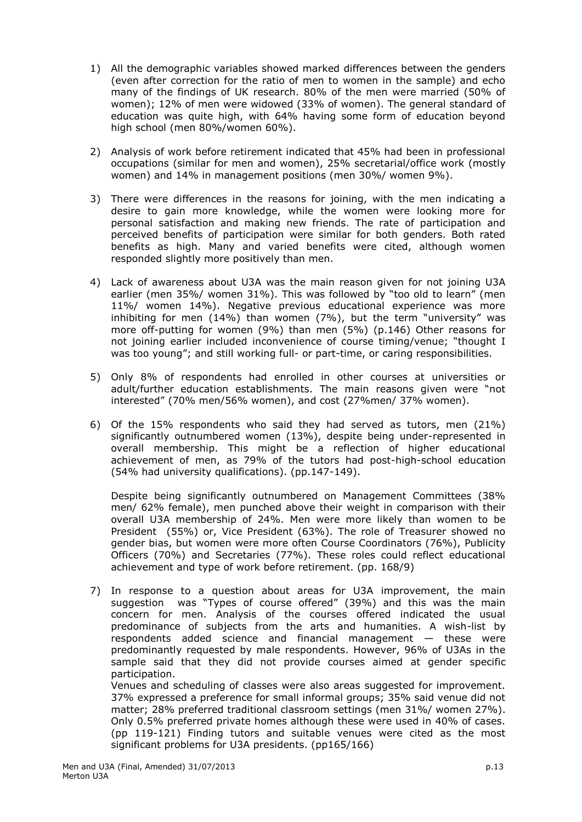- 1) All the demographic variables showed marked differences between the genders (even after correction for the ratio of men to women in the sample) and echo many of the findings of UK research. 80% of the men were married (50% of women); 12% of men were widowed (33% of women). The general standard of education was quite high, with 64% having some form of education beyond high school (men 80%/women 60%).
- 2) Analysis of work before retirement indicated that 45% had been in professional occupations (similar for men and women), 25% secretarial/office work (mostly women) and 14% in management positions (men 30%/ women 9%).
- 3) There were differences in the reasons for joining, with the men indicating a desire to gain more knowledge, while the women were looking more for personal satisfaction and making new friends. The rate of participation and perceived benefits of participation were similar for both genders. Both rated benefits as high. Many and varied benefits were cited, although women responded slightly more positively than men.
- 4) Lack of awareness about U3A was the main reason given for not joining U3A earlier (men 35%/ women 31%). This was followed by "too old to learn" (men 11%/ women 14%). Negative previous educational experience was more inhibiting for men (14%) than women (7%), but the term "university" was more off-putting for women (9%) than men (5%) (p.146) Other reasons for not joining earlier included inconvenience of course timing/venue; "thought I was too young"; and still working full- or part-time, or caring responsibilities.
- 5) Only 8% of respondents had enrolled in other courses at universities or adult/further education establishments. The main reasons given were "not interested" (70% men/56% women), and cost (27%men/ 37% women).
- 6) Of the 15% respondents who said they had served as tutors, men (21%) significantly outnumbered women (13%), despite being under-represented in overall membership. This might be a reflection of higher educational achievement of men, as 79% of the tutors had post-high-school education (54% had university qualifications). (pp.147-149).

Despite being significantly outnumbered on Management Committees (38% men/ 62% female), men punched above their weight in comparison with their overall U3A membership of 24%. Men were more likely than women to be President (55%) or, Vice President (63%). The role of Treasurer showed no gender bias, but women were more often Course Coordinators (76%), Publicity Officers (70%) and Secretaries (77%). These roles could reflect educational achievement and type of work before retirement. (pp. 168/9)

7) In response to a question about areas for U3A improvement, the main suggestion was "Types of course offered" (39%) and this was the main concern for men. Analysis of the courses offered indicated the usual predominance of subjects from the arts and humanities. A wish-list by respondents added science and financial management — these were predominantly requested by male respondents. However, 96% of U3As in the sample said that they did not provide courses aimed at gender specific participation.

Venues and scheduling of classes were also areas suggested for improvement. 37% expressed a preference for small informal groups; 35% said venue did not matter; 28% preferred traditional classroom settings (men 31%/ women 27%). Only 0.5% preferred private homes although these were used in 40% of cases. (pp 119-121) Finding tutors and suitable venues were cited as the most significant problems for U3A presidents. (pp165/166)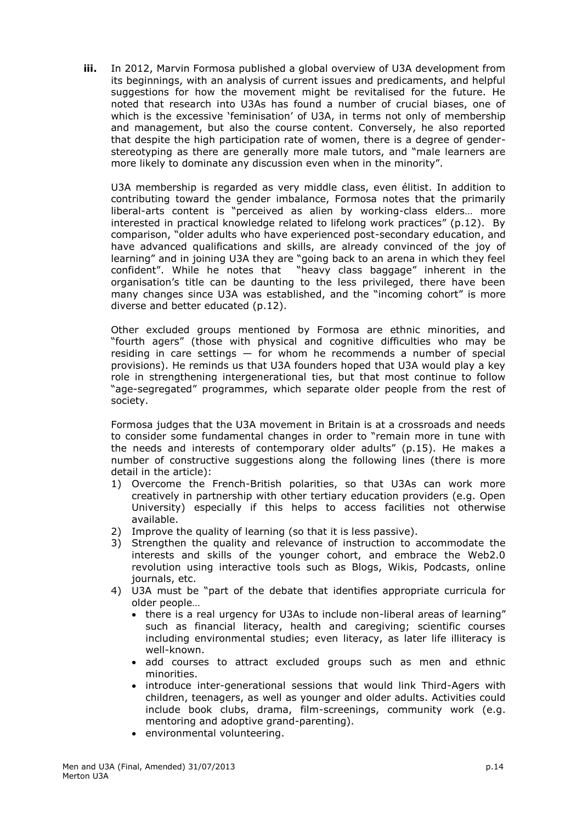**iii.** In 2012, Marvin Formosa published a global overview of U3A development from its beginnings, with an analysis of current issues and predicaments, and helpful suggestions for how the movement might be revitalised for the future. He noted that research into U3As has found a number of crucial biases, one of which is the excessive 'feminisation' of U3A, in terms not only of membership and management, but also the course content. Conversely, he also reported that despite the high participation rate of women, there is a degree of genderstereotyping as there are generally more male tutors, and "male learners are more likely to dominate any discussion even when in the minority".

U3A membership is regarded as very middle class, even élitist. In addition to contributing toward the gender imbalance, Formosa notes that the primarily liberal-arts content is "perceived as alien by working-class elders… more interested in practical knowledge related to lifelong work practices" (p.12). By comparison, "older adults who have experienced post-secondary education, and have advanced qualifications and skills, are already convinced of the joy of learning" and in joining U3A they are "going back to an arena in which they feel confident". While he notes that "heavy class baggage" inherent in the organisation's title can be daunting to the less privileged, there have been many changes since U3A was established, and the "incoming cohort" is more diverse and better educated (p.12).

Other excluded groups mentioned by Formosa are ethnic minorities, and "fourth agers" (those with physical and cognitive difficulties who may be residing in care settings — for whom he recommends a number of special provisions). He reminds us that U3A founders hoped that U3A would play a key role in strengthening intergenerational ties, but that most continue to follow "age-segregated" programmes, which separate older people from the rest of society.

Formosa judges that the U3A movement in Britain is at a crossroads and needs to consider some fundamental changes in order to "remain more in tune with the needs and interests of contemporary older adults" (p.15). He makes a number of constructive suggestions along the following lines (there is more detail in the article):

- 1) Overcome the French-British polarities, so that U3As can work more creatively in partnership with other tertiary education providers (e.g. Open University) especially if this helps to access facilities not otherwise available.
- 2) Improve the quality of learning (so that it is less passive).
- 3) Strengthen the quality and relevance of instruction to accommodate the interests and skills of the younger cohort, and embrace the Web2.0 revolution using interactive tools such as Blogs, Wikis, Podcasts, online journals, etc.
- 4) U3A must be "part of the debate that identifies appropriate curricula for older people…
	- there is a real urgency for U3As to include non-liberal areas of learning" such as financial literacy, health and caregiving; scientific courses including environmental studies; even literacy, as later life illiteracy is well-known.
	- add courses to attract excluded groups such as men and ethnic minorities.
	- introduce inter-generational sessions that would link Third-Agers with children, teenagers, as well as younger and older adults. Activities could include book clubs, drama, film-screenings, community work (e.g. mentoring and adoptive grand-parenting).
	- environmental volunteering.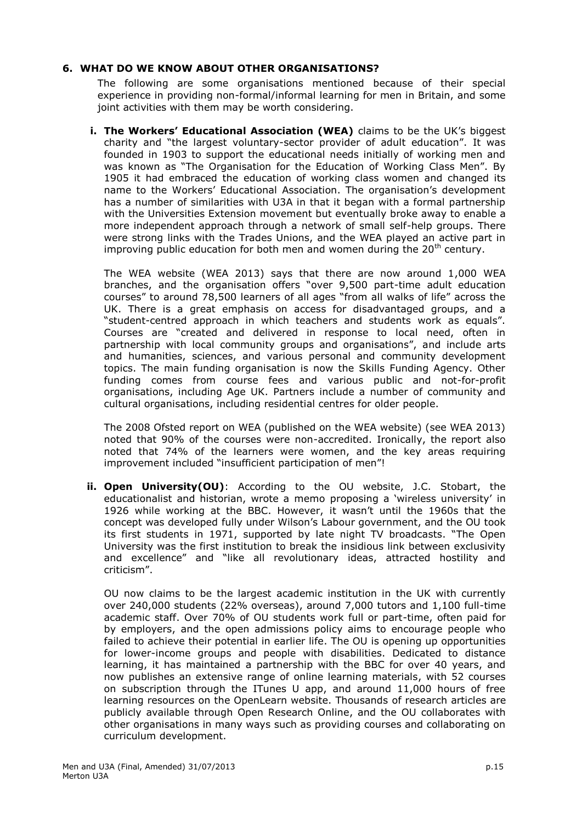## **6. WHAT DO WE KNOW ABOUT OTHER ORGANISATIONS?**

The following are some organisations mentioned because of their special experience in providing non-formal/informal learning for men in Britain, and some joint activities with them may be worth considering.

**i. The Workers' Educational Association (WEA)** claims to be the UK's biggest charity and "the largest voluntary-sector provider of adult education". It was founded in 1903 to support the educational needs initially of working men and was known as "The Organisation for the Education of Working Class Men". By 1905 it had embraced the education of working class women and changed its name to the Workers' Educational Association. The organisation's development has a number of similarities with U3A in that it began with a formal partnership with the Universities Extension movement but eventually broke away to enable a more independent approach through a network of small self-help groups. There were strong links with the Trades Unions, and the WEA played an active part in improving public education for both men and women during the  $20<sup>th</sup>$  century.

The WEA website (WEA 2013) says that there are now around 1,000 WEA branches, and the organisation offers "over 9,500 part-time adult education courses" to around 78,500 learners of all ages "from all walks of life" across the UK. There is a great emphasis on access for disadvantaged groups, and a "student-centred approach in which teachers and students work as equals". Courses are "created and delivered in response to local need, often in partnership with local community groups and organisations", and include arts and humanities, sciences, and various personal and community development topics. The main funding organisation is now the Skills Funding Agency. Other funding comes from course fees and various public and not-for-profit organisations, including Age UK. Partners include a number of community and cultural organisations, including residential centres for older people.

The 2008 Ofsted report on WEA (published on the WEA website) (see WEA 2013) noted that 90% of the courses were non-accredited. Ironically, the report also noted that 74% of the learners were women, and the key areas requiring improvement included "insufficient participation of men"!

**ii. Open University(OU)**: According to the OU website, J.C. Stobart, the educationalist and historian, wrote a memo proposing a 'wireless university' in 1926 while working at the BBC. However, it wasn't until the 1960s that the concept was developed fully under Wilson's Labour government, and the OU took its first students in 1971, supported by late night TV broadcasts. "The Open University was the first institution to break the insidious link between exclusivity and excellence" and "like all revolutionary ideas, attracted hostility and criticism".

OU now claims to be the largest academic institution in the UK with currently over 240,000 students (22% overseas), around 7,000 tutors and 1,100 full-time academic staff. Over 70% of OU students work full or part-time, often paid for by employers, and the open admissions policy aims to encourage people who failed to achieve their potential in earlier life. The OU is opening up opportunities for lower-income groups and people with disabilities. Dedicated to distance learning, it has maintained a partnership with the BBC for over 40 years, and now publishes an extensive range of online learning materials, with 52 courses on subscription through the ITunes U app, and around 11,000 hours of free learning resources on the OpenLearn website. Thousands of research articles are publicly available through Open Research Online, and the OU collaborates with other organisations in many ways such as providing courses and collaborating on curriculum development.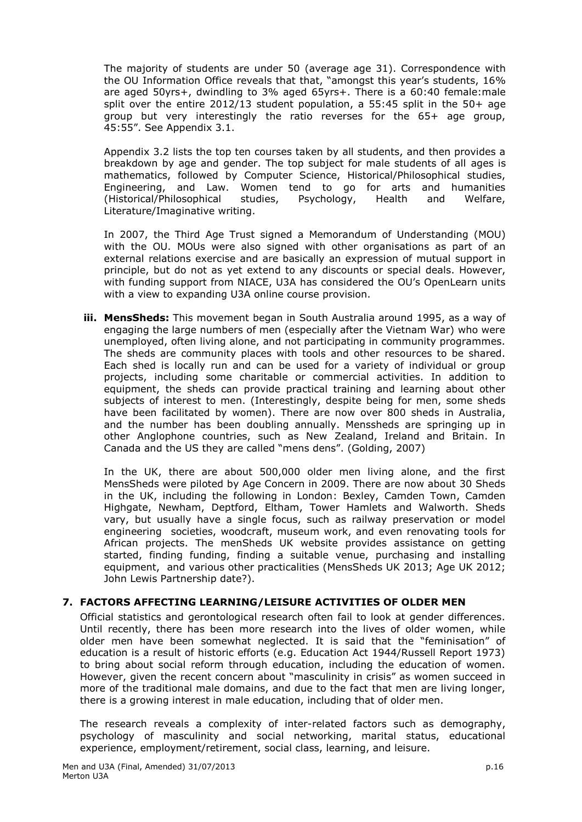The majority of students are under 50 (average age 31). Correspondence with the OU Information Office reveals that that, "amongst this year's students, 16% are aged 50yrs+, dwindling to 3% aged 65yrs+. There is a 60:40 female:male split over the entire 2012/13 student population, a 55:45 split in the 50+ age group but very interestingly the ratio reverses for the 65+ age group, 45:55". See Appendix 3.1.

Appendix 3.2 lists the top ten courses taken by all students, and then provides a breakdown by age and gender. The top subject for male students of all ages is mathematics, followed by Computer Science, Historical/Philosophical studies, Engineering, and Law. Women tend to go for arts and humanities (Historical/Philosophical studies, Psychology, Health and Welfare, Literature/Imaginative writing.

In 2007, the Third Age Trust signed a Memorandum of Understanding (MOU) with the OU. MOUs were also signed with other organisations as part of an external relations exercise and are basically an expression of mutual support in principle, but do not as yet extend to any discounts or special deals. However, with funding support from NIACE, U3A has considered the OU's OpenLearn units with a view to expanding U3A online course provision.

**iii. MensSheds:** This movement began in South Australia around 1995, as a way of engaging the large numbers of men (especially after the Vietnam War) who were unemployed, often living alone, and not participating in community programmes. The sheds are community places with tools and other resources to be shared. Each shed is locally run and can be used for a variety of individual or group projects, including some charitable or commercial activities. In addition to equipment, the sheds can provide practical training and learning about other subjects of interest to men. (Interestingly, despite being for men, some sheds have been facilitated by women). There are now over 800 sheds in Australia, and the number has been doubling annually. Menssheds are springing up in other Anglophone countries, such as New Zealand, Ireland and Britain. In Canada and the US they are called "mens dens". (Golding, 2007)

In the UK, there are about 500,000 older men living alone, and the first MensSheds were piloted by Age Concern in 2009. There are now about 30 Sheds in the UK, including the following in London: Bexley, Camden Town, Camden Highgate, Newham, Deptford, Eltham, Tower Hamlets and Walworth. Sheds vary, but usually have a single focus, such as railway preservation or model engineering societies, woodcraft, museum work, and even renovating tools for African projects. The menSheds UK website provides assistance on getting started, finding funding, finding a suitable venue, purchasing and installing equipment, and various other practicalities (MensSheds UK 2013; Age UK 2012; John Lewis Partnership date?).

## **7. FACTORS AFFECTING LEARNING/LEISURE ACTIVITIES OF OLDER MEN**

Official statistics and gerontological research often fail to look at gender differences. Until recently, there has been more research into the lives of older women, while older men have been somewhat neglected. It is said that the "feminisation" of education is a result of historic efforts (e.g. Education Act 1944/Russell Report 1973) to bring about social reform through education, including the education of women. However, given the recent concern about "masculinity in crisis" as women succeed in more of the traditional male domains, and due to the fact that men are living longer, there is a growing interest in male education, including that of older men.

The research reveals a complexity of inter-related factors such as demography, psychology of masculinity and social networking, marital status, educational experience, employment/retirement, social class, learning, and leisure.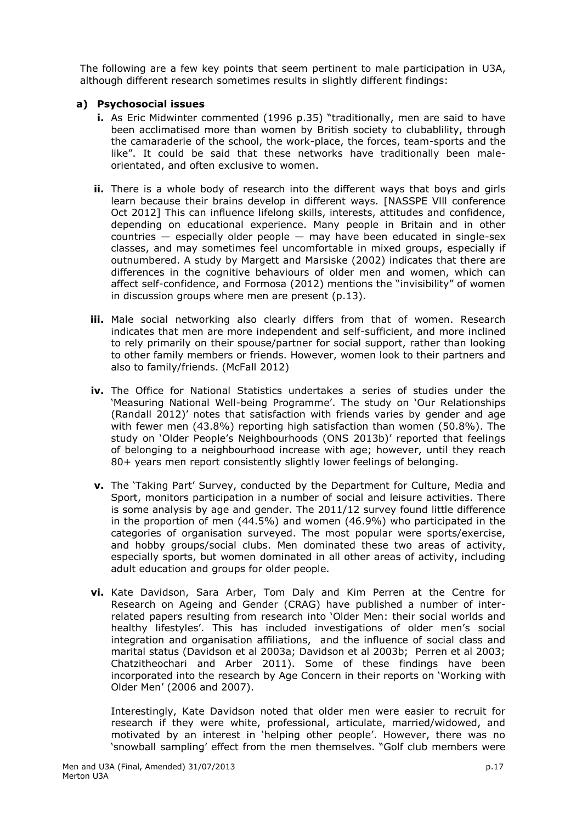The following are a few key points that seem pertinent to male participation in U3A, although different research sometimes results in slightly different findings:

## **a) Psychosocial issues**

- **i.** As Eric Midwinter commented (1996 p.35) "traditionally, men are said to have been acclimatised more than women by British society to clubablility, through the camaraderie of the school, the work-place, the forces, team-sports and the like". It could be said that these networks have traditionally been maleorientated, and often exclusive to women.
- **ii.** There is a whole body of research into the different ways that boys and girls learn because their brains develop in different ways. [NASSPE Vlll conference Oct 2012] This can influence lifelong skills, interests, attitudes and confidence, depending on educational experience. Many people in Britain and in other countries — especially older people — may have been educated in single-sex classes, and may sometimes feel uncomfortable in mixed groups, especially if outnumbered. A study by Margett and Marsiske (2002) indicates that there are differences in the cognitive behaviours of older men and women, which can affect self-confidence, and Formosa (2012) mentions the "invisibility" of women in discussion groups where men are present (p.13).
- **iii.** Male social networking also clearly differs from that of women. Research indicates that men are more independent and self-sufficient, and more inclined to rely primarily on their spouse/partner for social support, rather than looking to other family members or friends. However, women look to their partners and also to family/friends. (McFall 2012)
- **iv.** The Office for National Statistics undertakes a series of studies under the 'Measuring National Well-being Programme'. The study on 'Our Relationships (Randall 2012)' notes that satisfaction with friends varies by gender and age with fewer men (43.8%) reporting high satisfaction than women (50.8%). The study on 'Older People's Neighbourhoods (ONS 2013b)' reported that feelings of belonging to a neighbourhood increase with age; however, until they reach 80+ years men report consistently slightly lower feelings of belonging.
- **v.** The 'Taking Part' Survey, conducted by the Department for Culture, Media and Sport, monitors participation in a number of social and leisure activities. There is some analysis by age and gender. The 2011/12 survey found little difference in the proportion of men (44.5%) and women (46.9%) who participated in the categories of organisation surveyed. The most popular were sports/exercise, and hobby groups/social clubs. Men dominated these two areas of activity, especially sports, but women dominated in all other areas of activity, including adult education and groups for older people.
- **vi.** Kate Davidson, Sara Arber, Tom Daly and Kim Perren at the Centre for Research on Ageing and Gender (CRAG) have published a number of interrelated papers resulting from research into 'Older Men: their social worlds and healthy lifestyles'. This has included investigations of older men's social integration and organisation affiliations, and the influence of social class and marital status (Davidson et al 2003a; Davidson et al 2003b; Perren et al 2003; Chatzitheochari and Arber 2011). Some of these findings have been incorporated into the research by Age Concern in their reports on 'Working with Older Men' (2006 and 2007).

Interestingly, Kate Davidson noted that older men were easier to recruit for research if they were white, professional, articulate, married/widowed, and motivated by an interest in 'helping other people'. However, there was no 'snowball sampling' effect from the men themselves. "Golf club members were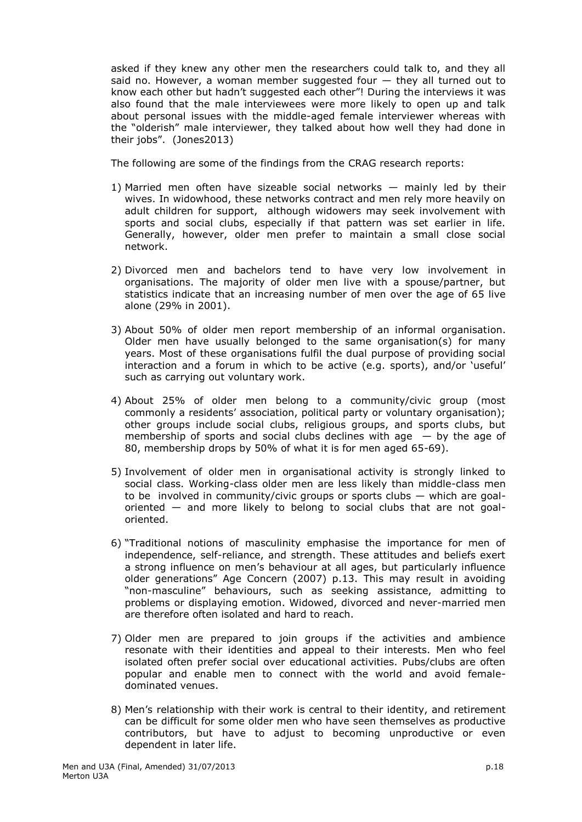asked if they knew any other men the researchers could talk to, and they all said no. However, a woman member suggested four — they all turned out to know each other but hadn't suggested each other"! During the interviews it was also found that the male interviewees were more likely to open up and talk about personal issues with the middle-aged female interviewer whereas with the "olderish" male interviewer, they talked about how well they had done in their jobs". (Jones2013)

The following are some of the findings from the CRAG research reports:

- 1) Married men often have sizeable social networks mainly led by their wives. In widowhood, these networks contract and men rely more heavily on adult children for support, although widowers may seek involvement with sports and social clubs, especially if that pattern was set earlier in life. Generally, however, older men prefer to maintain a small close social network.
- 2) Divorced men and bachelors tend to have very low involvement in organisations. The majority of older men live with a spouse/partner, but statistics indicate that an increasing number of men over the age of 65 live alone (29% in 2001).
- 3) About 50% of older men report membership of an informal organisation. Older men have usually belonged to the same organisation(s) for many years. Most of these organisations fulfil the dual purpose of providing social interaction and a forum in which to be active (e.g. sports), and/or 'useful' such as carrying out voluntary work.
- 4) About 25% of older men belong to a community/civic group (most commonly a residents' association, political party or voluntary organisation); other groups include social clubs, religious groups, and sports clubs, but membership of sports and social clubs declines with age  $-$  by the age of 80, membership drops by 50% of what it is for men aged 65-69).
- 5) Involvement of older men in organisational activity is strongly linked to social class. Working-class older men are less likely than middle-class men to be involved in community/civic groups or sports clubs — which are goaloriented — and more likely to belong to social clubs that are not goaloriented.
- 6) "Traditional notions of masculinity emphasise the importance for men of independence, self-reliance, and strength. These attitudes and beliefs exert a strong influence on men's behaviour at all ages, but particularly influence older generations" Age Concern (2007) p.13. This may result in avoiding "non-masculine" behaviours, such as seeking assistance, admitting to problems or displaying emotion. Widowed, divorced and never-married men are therefore often isolated and hard to reach.
- 7) Older men are prepared to join groups if the activities and ambience resonate with their identities and appeal to their interests. Men who feel isolated often prefer social over educational activities. Pubs/clubs are often popular and enable men to connect with the world and avoid femaledominated venues.
- 8) Men's relationship with their work is central to their identity, and retirement can be difficult for some older men who have seen themselves as productive contributors, but have to adjust to becoming unproductive or even dependent in later life.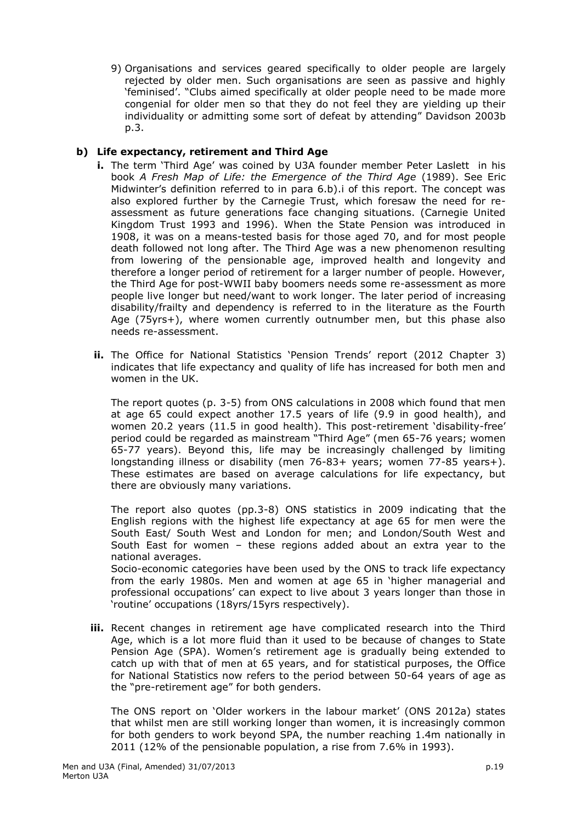9) Organisations and services geared specifically to older people are largely rejected by older men. Such organisations are seen as passive and highly 'feminised'. "Clubs aimed specifically at older people need to be made more congenial for older men so that they do not feel they are yielding up their individuality or admitting some sort of defeat by attending" Davidson 2003b p.3.

# **b) Life expectancy, retirement and Third Age**

- **i.** The term 'Third Age' was coined by U3A founder member Peter Laslett in his book *A Fresh Map of Life: the Emergence of the Third Age* (1989). See Eric Midwinter's definition referred to in para 6.b).i of this report. The concept was also explored further by the Carnegie Trust, which foresaw the need for reassessment as future generations face changing situations. (Carnegie United Kingdom Trust 1993 and 1996). When the State Pension was introduced in 1908, it was on a means-tested basis for those aged 70, and for most people death followed not long after. The Third Age was a new phenomenon resulting from lowering of the pensionable age, improved health and longevity and therefore a longer period of retirement for a larger number of people. However, the Third Age for post-WWII baby boomers needs some re-assessment as more people live longer but need/want to work longer. The later period of increasing disability/frailty and dependency is referred to in the literature as the Fourth Age (75yrs+), where women currently outnumber men, but this phase also needs re-assessment.
- **ii.** The Office for National Statistics 'Pension Trends' report (2012 Chapter 3) indicates that life expectancy and quality of life has increased for both men and women in the UK.

The report quotes (p. 3-5) from ONS calculations in 2008 which found that men at age 65 could expect another 17.5 years of life (9.9 in good health), and women 20.2 years (11.5 in good health). This post-retirement 'disability-free' period could be regarded as mainstream "Third Age" (men 65-76 years; women 65-77 years). Beyond this, life may be increasingly challenged by limiting longstanding illness or disability (men 76-83+ years; women 77-85 years+). These estimates are based on average calculations for life expectancy, but there are obviously many variations.

The report also quotes (pp.3-8) ONS statistics in 2009 indicating that the English regions with the highest life expectancy at age 65 for men were the South East/ South West and London for men; and London/South West and South East for women – these regions added about an extra year to the national averages.

Socio-economic categories have been used by the ONS to track life expectancy from the early 1980s. Men and women at age 65 in 'higher managerial and professional occupations' can expect to live about 3 years longer than those in 'routine' occupations (18yrs/15yrs respectively).

**iii.** Recent changes in retirement age have complicated research into the Third Age, which is a lot more fluid than it used to be because of changes to State Pension Age (SPA). Women's retirement age is gradually being extended to catch up with that of men at 65 years, and for statistical purposes, the Office for National Statistics now refers to the period between 50-64 years of age as the "pre-retirement age" for both genders.

The ONS report on 'Older workers in the labour market' (ONS 2012a) states that whilst men are still working longer than women, it is increasingly common for both genders to work beyond SPA, the number reaching 1.4m nationally in 2011 (12% of the pensionable population, a rise from 7.6% in 1993).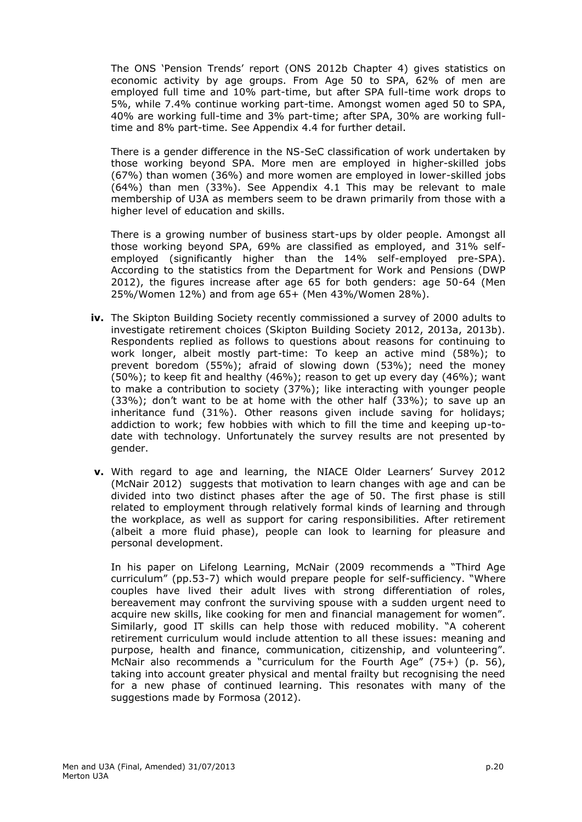The ONS 'Pension Trends' report (ONS 2012b Chapter 4) gives statistics on economic activity by age groups. From Age 50 to SPA, 62% of men are employed full time and 10% part-time, but after SPA full-time work drops to 5%, while 7.4% continue working part-time. Amongst women aged 50 to SPA, 40% are working full-time and 3% part-time; after SPA, 30% are working fulltime and 8% part-time. See Appendix 4.4 for further detail.

There is a gender difference in the NS-SeC classification of work undertaken by those working beyond SPA. More men are employed in higher-skilled jobs (67%) than women (36%) and more women are employed in lower-skilled jobs (64%) than men (33%). See Appendix 4.1 This may be relevant to male membership of U3A as members seem to be drawn primarily from those with a higher level of education and skills.

There is a growing number of business start-ups by older people. Amongst all those working beyond SPA, 69% are classified as employed, and 31% selfemployed (significantly higher than the 14% self-employed pre-SPA). According to the statistics from the Department for Work and Pensions (DWP 2012), the figures increase after age 65 for both genders: age 50-64 (Men 25%/Women 12%) and from age 65+ (Men 43%/Women 28%).

- **iv.** The Skipton Building Society recently commissioned a survey of 2000 adults to investigate retirement choices (Skipton Building Society 2012, 2013a, 2013b). Respondents replied as follows to questions about reasons for continuing to work longer, albeit mostly part-time: To keep an active mind (58%); to prevent boredom (55%); afraid of slowing down (53%); need the money (50%); to keep fit and healthy (46%); reason to get up every day (46%); want to make a contribution to society (37%); like interacting with younger people (33%); don't want to be at home with the other half (33%); to save up an inheritance fund (31%). Other reasons given include saving for holidays; addiction to work; few hobbies with which to fill the time and keeping up-todate with technology. Unfortunately the survey results are not presented by gender.
- **v.** With regard to age and learning, the NIACE Older Learners' Survey 2012 (McNair 2012) suggests that motivation to learn changes with age and can be divided into two distinct phases after the age of 50. The first phase is still related to employment through relatively formal kinds of learning and through the workplace, as well as support for caring responsibilities. After retirement (albeit a more fluid phase), people can look to learning for pleasure and personal development.

In his paper on Lifelong Learning, McNair (2009 recommends a "Third Age curriculum" (pp.53-7) which would prepare people for self-sufficiency. "Where couples have lived their adult lives with strong differentiation of roles, bereavement may confront the surviving spouse with a sudden urgent need to acquire new skills, like cooking for men and financial management for women". Similarly, good IT skills can help those with reduced mobility. "A coherent retirement curriculum would include attention to all these issues: meaning and purpose, health and finance, communication, citizenship, and volunteering". McNair also recommends a "curriculum for the Fourth Age" (75+) (p. 56), taking into account greater physical and mental frailty but recognising the need for a new phase of continued learning. This resonates with many of the suggestions made by Formosa (2012).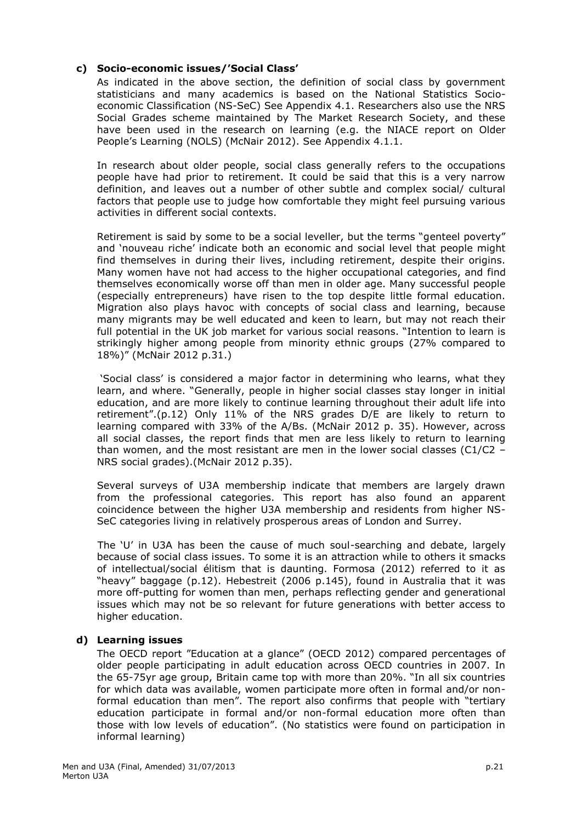# **c) Socio-economic issues/'Social Class'**

As indicated in the above section, the definition of social class by government statisticians and many academics is based on the National Statistics Socioeconomic Classification (NS-SeC) See Appendix 4.1. Researchers also use the NRS Social Grades scheme maintained by The Market Research Society, and these have been used in the research on learning (e.g. the NIACE report on Older People's Learning (NOLS) (McNair 2012). See Appendix 4.1.1.

In research about older people, social class generally refers to the occupations people have had prior to retirement. It could be said that this is a very narrow definition, and leaves out a number of other subtle and complex social/ cultural factors that people use to judge how comfortable they might feel pursuing various activities in different social contexts.

Retirement is said by some to be a social leveller, but the terms "genteel poverty" and 'nouveau riche' indicate both an economic and social level that people might find themselves in during their lives, including retirement, despite their origins. Many women have not had access to the higher occupational categories, and find themselves economically worse off than men in older age. Many successful people (especially entrepreneurs) have risen to the top despite little formal education. Migration also plays havoc with concepts of social class and learning, because many migrants may be well educated and keen to learn, but may not reach their full potential in the UK job market for various social reasons. "Intention to learn is strikingly higher among people from minority ethnic groups (27% compared to 18%)" (McNair 2012 p.31.)

'Social class' is considered a major factor in determining who learns, what they learn, and where. "Generally, people in higher social classes stay longer in initial education, and are more likely to continue learning throughout their adult life into retirement".(p.12) Only 11% of the NRS grades D/E are likely to return to learning compared with 33% of the A/Bs. (McNair 2012 p. 35). However, across all social classes, the report finds that men are less likely to return to learning than women, and the most resistant are men in the lower social classes (C1/C2 – NRS social grades).(McNair 2012 p.35).

Several surveys of U3A membership indicate that members are largely drawn from the professional categories. This report has also found an apparent coincidence between the higher U3A membership and residents from higher NS-SeC categories living in relatively prosperous areas of London and Surrey.

The 'U' in U3A has been the cause of much soul-searching and debate, largely because of social class issues. To some it is an attraction while to others it smacks of intellectual/social élitism that is daunting. Formosa (2012) referred to it as "heavy" baggage (p.12). Hebestreit (2006 p.145), found in Australia that it was more off-putting for women than men, perhaps reflecting gender and generational issues which may not be so relevant for future generations with better access to higher education.

## **d) Learning issues**

The OECD report "Education at a glance" (OECD 2012) compared percentages of older people participating in adult education across OECD countries in 2007. In the 65-75yr age group, Britain came top with more than 20%. "In all six countries for which data was available, women participate more often in formal and/or nonformal education than men". The report also confirms that people with "tertiary education participate in formal and/or non-formal education more often than those with low levels of education". (No statistics were found on participation in informal learning)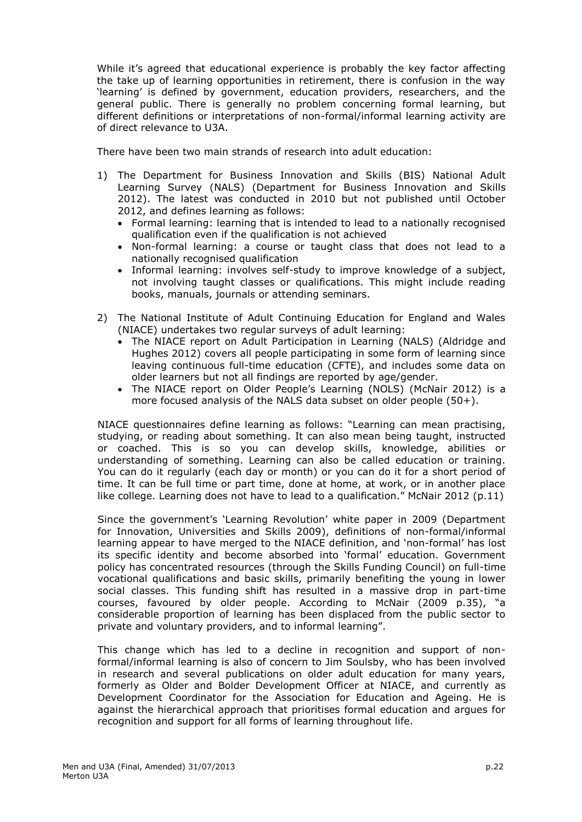While it's agreed that educational experience is probably the key factor affecting the take up of learning opportunities in retirement, there is confusion in the way 'learning' is defined by government, education providers, researchers, and the general public. There is generally no problem concerning formal learning, but different definitions or interpretations of non-formal/informal learning activity are of direct relevance to U3A.

There have been two main strands of research into adult education:

- 1) The Department for Business Innovation and Skills (BIS) National Adult Learning Survey (NALS) (Department for Business Innovation and Skills 2012). The latest was conducted in 2010 but not published until October 2012, and defines learning as follows:
	- Formal learning: learning that is intended to lead to a nationally recognised qualification even if the qualification is not achieved
	- Non-formal learning: a course or taught class that does not lead to a nationally recognised qualification
	- Informal learning: involves self-study to improve knowledge of a subject, not involving taught classes or qualifications. This might include reading books, manuals, journals or attending seminars.
- 2) The National Institute of Adult Continuing Education for England and Wales (NIACE) undertakes two regular surveys of adult learning:
	- The NIACE report on Adult Participation in Learning (NALS) (Aldridge and Hughes 2012) covers all people participating in some form of learning since leaving continuous full-time education (CFTE), and includes some data on older learners but not all findings are reported by age/gender.
	- The NIACE report on Older People's Learning (NOLS) (McNair 2012) is a more focused analysis of the NALS data subset on older people (50+).

NIACE questionnaires define learning as follows: "Learning can mean practising, studying, or reading about something. It can also mean being taught, instructed or coached. This is so you can develop skills, knowledge, abilities or understanding of something. Learning can also be called education or training. You can do it regularly (each day or month) or you can do it for a short period of time. It can be full time or part time, done at home, at work, or in another place like college. Learning does not have to lead to a qualification." McNair 2012 (p.11)

Since the government's 'Learning Revolution' white paper in 2009 (Department for Innovation, Universities and Skills 2009), definitions of non-formal/informal learning appear to have merged to the NIACE definition, and 'non-formal' has lost its specific identity and become absorbed into 'formal' education. Government policy has concentrated resources (through the Skills Funding Council) on full-time vocational qualifications and basic skills, primarily benefiting the young in lower social classes. This funding shift has resulted in a massive drop in part-time courses, favoured by older people. According to McNair (2009 p.35), "a considerable proportion of learning has been displaced from the public sector to private and voluntary providers, and to informal learning".

This change which has led to a decline in recognition and support of nonformal/informal learning is also of concern to Jim Soulsby, who has been involved in research and several publications on older adult education for many years, formerly as Older and Bolder Development Officer at NIACE, and currently as Development Coordinator for the Association for Education and Ageing. He is against the hierarchical approach that prioritises formal education and argues for recognition and support for all forms of learning throughout life.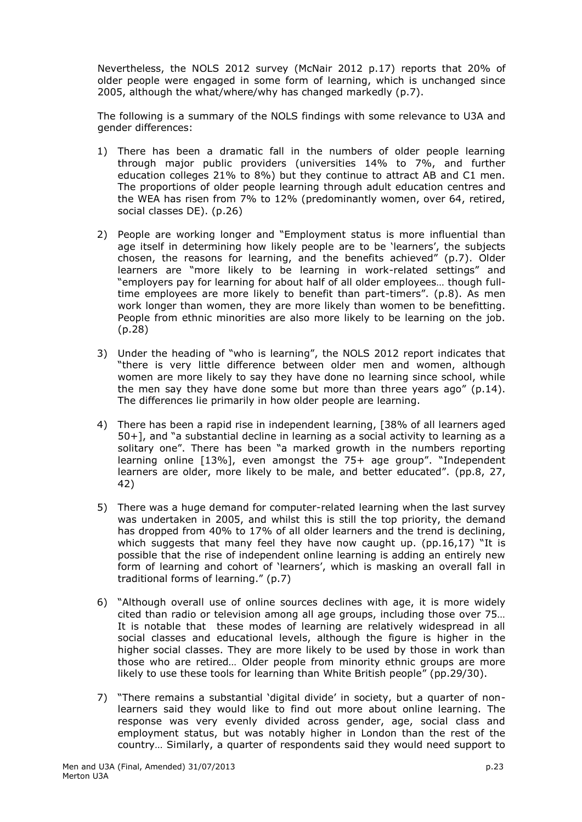Nevertheless, the NOLS 2012 survey (McNair 2012 p.17) reports that 20% of older people were engaged in some form of learning, which is unchanged since 2005, although the what/where/why has changed markedly (p.7).

The following is a summary of the NOLS findings with some relevance to U3A and gender differences:

- 1) There has been a dramatic fall in the numbers of older people learning through major public providers (universities 14% to 7%, and further education colleges 21% to 8%) but they continue to attract AB and C1 men. The proportions of older people learning through adult education centres and the WEA has risen from 7% to 12% (predominantly women, over 64, retired, social classes DE). (p.26)
- 2) People are working longer and "Employment status is more influential than age itself in determining how likely people are to be 'learners', the subjects chosen, the reasons for learning, and the benefits achieved" (p.7). Older learners are "more likely to be learning in work-related settings" and "employers pay for learning for about half of all older employees… though fulltime employees are more likely to benefit than part-timers". (p.8). As men work longer than women, they are more likely than women to be benefitting. People from ethnic minorities are also more likely to be learning on the job. (p.28)
- 3) Under the heading of "who is learning", the NOLS 2012 report indicates that "there is very little difference between older men and women, although women are more likely to say they have done no learning since school, while the men say they have done some but more than three years ago" (p.14). The differences lie primarily in how older people are learning.
- 4) There has been a rapid rise in independent learning, [38% of all learners aged 50+], and "a substantial decline in learning as a social activity to learning as a solitary one". There has been "a marked growth in the numbers reporting learning online [13%], even amongst the 75+ age group". "Independent learners are older, more likely to be male, and better educated". (pp.8, 27, 42)
- 5) There was a huge demand for computer-related learning when the last survey was undertaken in 2005, and whilst this is still the top priority, the demand has dropped from 40% to 17% of all older learners and the trend is declining, which suggests that many feel they have now caught up. (pp.16,17) "It is possible that the rise of independent online learning is adding an entirely new form of learning and cohort of 'learners', which is masking an overall fall in traditional forms of learning." (p.7)
- 6) "Although overall use of online sources declines with age, it is more widely cited than radio or television among all age groups, including those over 75… It is notable that these modes of learning are relatively widespread in all social classes and educational levels, although the figure is higher in the higher social classes. They are more likely to be used by those in work than those who are retired… Older people from minority ethnic groups are more likely to use these tools for learning than White British people" (pp.29/30).
- 7) "There remains a substantial 'digital divide' in society, but a quarter of nonlearners said they would like to find out more about online learning. The response was very evenly divided across gender, age, social class and employment status, but was notably higher in London than the rest of the country… Similarly, a quarter of respondents said they would need support to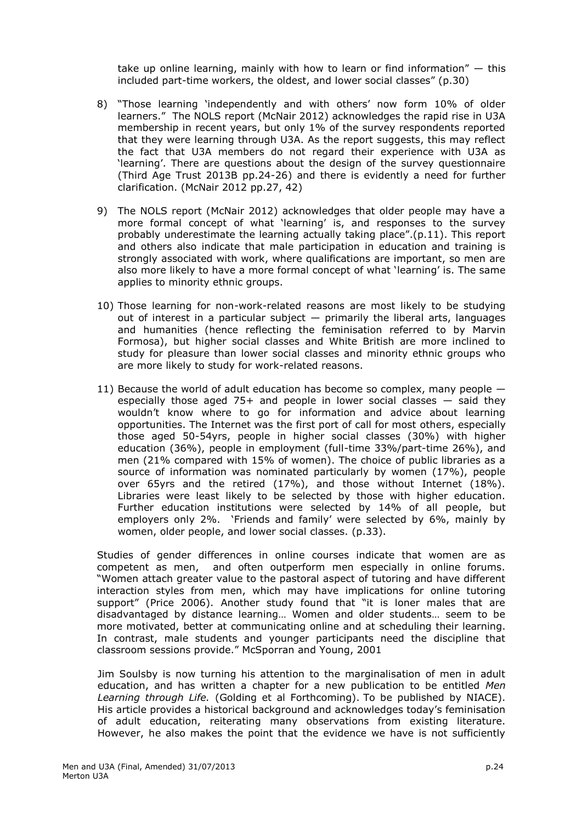take up online learning, mainly with how to learn or find information"  $-$  this included part-time workers, the oldest, and lower social classes" (p.30)

- 8) "Those learning 'independently and with others' now form 10% of older learners." The NOLS report (McNair 2012) acknowledges the rapid rise in U3A membership in recent years, but only 1% of the survey respondents reported that they were learning through U3A. As the report suggests, this may reflect the fact that U3A members do not regard their experience with U3A as 'learning'. There are questions about the design of the survey questionnaire (Third Age Trust 2013B pp.24-26) and there is evidently a need for further clarification. (McNair 2012 pp.27, 42)
- 9) The NOLS report (McNair 2012) acknowledges that older people may have a more formal concept of what 'learning' is, and responses to the survey probably underestimate the learning actually taking place".(p.11). This report and others also indicate that male participation in education and training is strongly associated with work, where qualifications are important, so men are also more likely to have a more formal concept of what 'learning' is. The same applies to minority ethnic groups.
- 10) Those learning for non-work-related reasons are most likely to be studying out of interest in a particular subject  $-$  primarily the liberal arts, languages and humanities (hence reflecting the feminisation referred to by Marvin Formosa), but higher social classes and White British are more inclined to study for pleasure than lower social classes and minority ethnic groups who are more likely to study for work-related reasons.
- 11) Because the world of adult education has become so complex, many people especially those aged 75+ and people in lower social classes  $-$  said they wouldn't know where to go for information and advice about learning opportunities. The Internet was the first port of call for most others, especially those aged 50-54yrs, people in higher social classes (30%) with higher education (36%), people in employment (full-time 33%/part-time 26%), and men (21% compared with 15% of women). The choice of public libraries as a source of information was nominated particularly by women (17%), people over 65yrs and the retired (17%), and those without Internet (18%). Libraries were least likely to be selected by those with higher education. Further education institutions were selected by 14% of all people, but employers only 2%. 'Friends and family' were selected by 6%, mainly by women, older people, and lower social classes. (p.33).

Studies of gender differences in online courses indicate that women are as competent as men, and often outperform men especially in online forums. "Women attach greater value to the pastoral aspect of tutoring and have different interaction styles from men, which may have implications for online tutoring support" (Price 2006). Another study found that "it is loner males that are disadvantaged by distance learning… Women and older students… seem to be more motivated, better at communicating online and at scheduling their learning. In contrast, male students and younger participants need the discipline that classroom sessions provide." McSporran and Young, 2001

Jim Soulsby is now turning his attention to the marginalisation of men in adult education, and has written a chapter for a new publication to be entitled *Men Learning through Life.* (Golding et al Forthcoming). To be published by NIACE). His article provides a historical background and acknowledges today's feminisation of adult education, reiterating many observations from existing literature. However, he also makes the point that the evidence we have is not sufficiently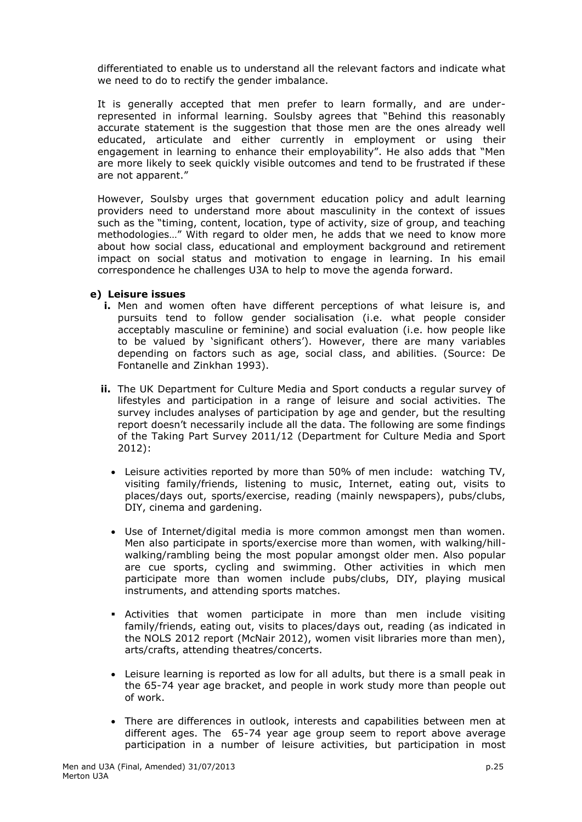differentiated to enable us to understand all the relevant factors and indicate what we need to do to rectify the gender imbalance.

It is generally accepted that men prefer to learn formally, and are underrepresented in informal learning. Soulsby agrees that "Behind this reasonably accurate statement is the suggestion that those men are the ones already well educated, articulate and either currently in employment or using their engagement in learning to enhance their employability". He also adds that "Men are more likely to seek quickly visible outcomes and tend to be frustrated if these are not apparent."

However, Soulsby urges that government education policy and adult learning providers need to understand more about masculinity in the context of issues such as the "timing, content, location, type of activity, size of group, and teaching methodologies…" With regard to older men, he adds that we need to know more about how social class, educational and employment background and retirement impact on social status and motivation to engage in learning. In his email correspondence he challenges U3A to help to move the agenda forward.

### **e) Leisure issues**

- **i.** Men and women often have different perceptions of what leisure is, and pursuits tend to follow gender socialisation (i.e. what people consider acceptably masculine or feminine) and social evaluation (i.e. how people like to be valued by 'significant others'). However, there are many variables depending on factors such as age, social class, and abilities. (Source: De Fontanelle and Zinkhan 1993).
- **ii.** The UK Department for Culture Media and Sport conducts a regular survey of lifestyles and participation in a range of leisure and social activities. The survey includes analyses of participation by age and gender, but the resulting report doesn't necessarily include all the data. The following are some findings of the Taking Part Survey 2011/12 (Department for Culture Media and Sport 2012):
	- Leisure activities reported by more than 50% of men include: watching TV, visiting family/friends, listening to music, Internet, eating out, visits to places/days out, sports/exercise, reading (mainly newspapers), pubs/clubs, DIY, cinema and gardening.
	- Use of Internet/digital media is more common amongst men than women. Men also participate in sports/exercise more than women, with walking/hillwalking/rambling being the most popular amongst older men. Also popular are cue sports, cycling and swimming. Other activities in which men participate more than women include pubs/clubs, DIY, playing musical instruments, and attending sports matches.
	- Activities that women participate in more than men include visiting family/friends, eating out, visits to places/days out, reading (as indicated in the NOLS 2012 report (McNair 2012), women visit libraries more than men), arts/crafts, attending theatres/concerts.
	- Leisure learning is reported as low for all adults, but there is a small peak in the 65-74 year age bracket, and people in work study more than people out of work.
	- There are differences in outlook, interests and capabilities between men at different ages. The 65-74 year age group seem to report above average participation in a number of leisure activities, but participation in most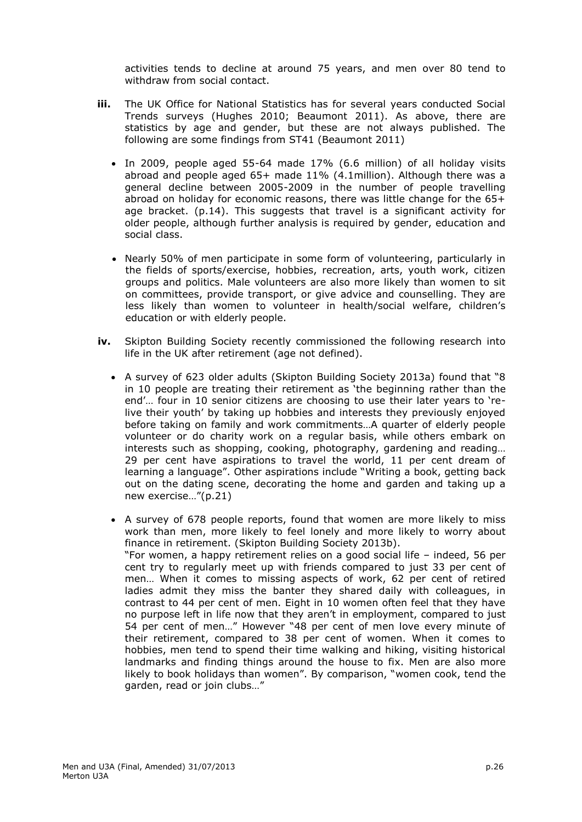activities tends to decline at around 75 years, and men over 80 tend to withdraw from social contact.

- **iii.** The UK Office for National Statistics has for several years conducted Social Trends surveys (Hughes 2010; Beaumont 2011). As above, there are statistics by age and gender, but these are not always published. The following are some findings from ST41 (Beaumont 2011)
	- In 2009, people aged 55-64 made 17% (6.6 million) of all holiday visits abroad and people aged 65+ made 11% (4.1million). Although there was a general decline between 2005-2009 in the number of people travelling abroad on holiday for economic reasons, there was little change for the 65+ age bracket. (p.14). This suggests that travel is a significant activity for older people, although further analysis is required by gender, education and social class.
	- Nearly 50% of men participate in some form of volunteering, particularly in the fields of sports/exercise, hobbies, recreation, arts, youth work, citizen groups and politics. Male volunteers are also more likely than women to sit on committees, provide transport, or give advice and counselling. They are less likely than women to volunteer in health/social welfare, children's education or with elderly people.
- **iv.** Skipton Building Society recently commissioned the following research into life in the UK after retirement (age not defined).
	- A survey of 623 older adults (Skipton Building Society 2013a) found that "8 in 10 people are treating their retirement as 'the beginning rather than the end'… four in 10 senior citizens are choosing to use their later years to 'relive their youth' by taking up hobbies and interests they previously enjoyed before taking on family and work commitments…A quarter of elderly people volunteer or do charity work on a regular basis, while others embark on interests such as shopping, cooking, photography, gardening and reading… 29 per cent have aspirations to travel the world, 11 per cent dream of learning a language". Other aspirations include "Writing a book, getting back out on the dating scene, decorating the home and garden and taking up a new exercise…"(p.21)
	- A survey of 678 people reports, found that women are more likely to miss work than men, more likely to feel lonely and more likely to worry about finance in retirement. (Skipton Building Society 2013b). "For women, a happy retirement relies on a good social life – indeed, 56 per cent try to regularly meet up with friends compared to just 33 per cent of men… When it comes to missing aspects of work, 62 per cent of retired ladies admit they miss the banter they shared daily with colleagues, in contrast to 44 per cent of men. Eight in 10 women often feel that they have no purpose left in life now that they aren't in employment, compared to just 54 per cent of men…" However "48 per cent of men love every minute of their retirement, compared to 38 per cent of women. When it comes to hobbies, men tend to spend their time walking and hiking, visiting historical landmarks and finding things around the house to fix. Men are also more likely to book holidays than women". By comparison, "women cook, tend the garden, read or join clubs…"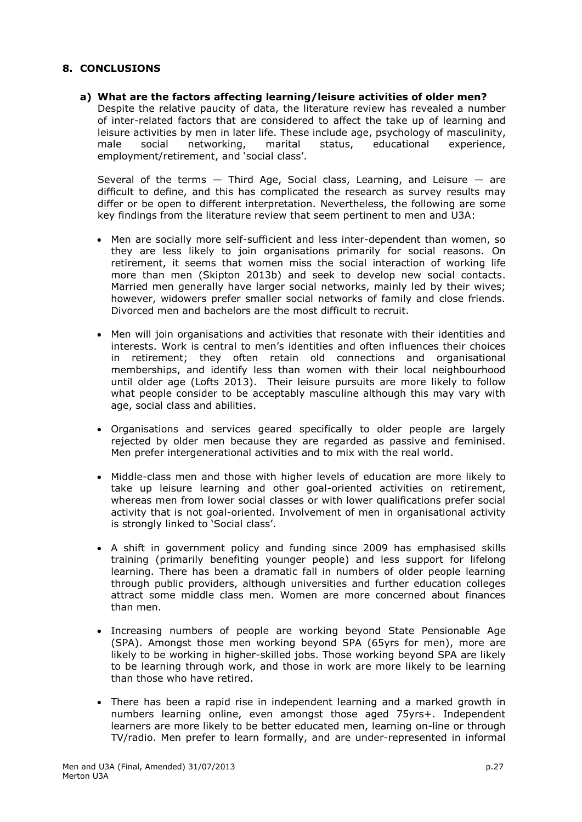## **8. CONCLUSIONS**

**a) What are the factors affecting learning/leisure activities of older men?** Despite the relative paucity of data, the literature review has revealed a number of inter-related factors that are considered to affect the take up of learning and leisure activities by men in later life. These include age, psychology of masculinity, male social networking, marital status, educational experience, employment/retirement, and 'social class'.

Several of the terms  $-$  Third Age, Social class, Learning, and Leisure  $-$  are difficult to define, and this has complicated the research as survey results may differ or be open to different interpretation. Nevertheless, the following are some key findings from the literature review that seem pertinent to men and U3A:

- Men are socially more self-sufficient and less inter-dependent than women, so they are less likely to join organisations primarily for social reasons. On retirement, it seems that women miss the social interaction of working life more than men (Skipton 2013b) and seek to develop new social contacts. Married men generally have larger social networks, mainly led by their wives; however, widowers prefer smaller social networks of family and close friends. Divorced men and bachelors are the most difficult to recruit.
- Men will join organisations and activities that resonate with their identities and interests. Work is central to men's identities and often influences their choices in retirement; they often retain old connections and organisational memberships, and identify less than women with their local neighbourhood until older age (Lofts 2013). Their leisure pursuits are more likely to follow what people consider to be acceptably masculine although this may vary with age, social class and abilities.
- Organisations and services geared specifically to older people are largely rejected by older men because they are regarded as passive and feminised. Men prefer intergenerational activities and to mix with the real world.
- Middle-class men and those with higher levels of education are more likely to take up leisure learning and other goal-oriented activities on retirement, whereas men from lower social classes or with lower qualifications prefer social activity that is not goal-oriented. Involvement of men in organisational activity is strongly linked to 'Social class'.
- A shift in government policy and funding since 2009 has emphasised skills training (primarily benefiting younger people) and less support for lifelong learning. There has been a dramatic fall in numbers of older people learning through public providers, although universities and further education colleges attract some middle class men. Women are more concerned about finances than men.
- Increasing numbers of people are working beyond State Pensionable Age (SPA). Amongst those men working beyond SPA (65yrs for men), more are likely to be working in higher-skilled jobs. Those working beyond SPA are likely to be learning through work, and those in work are more likely to be learning than those who have retired.
- There has been a rapid rise in independent learning and a marked growth in numbers learning online, even amongst those aged 75yrs+. Independent learners are more likely to be better educated men, learning on-line or through TV/radio. Men prefer to learn formally, and are under-represented in informal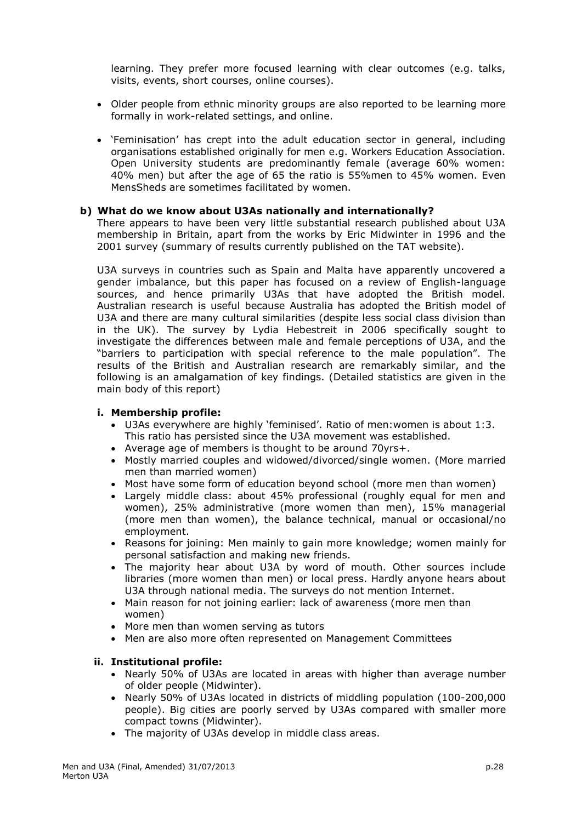learning. They prefer more focused learning with clear outcomes (e.g. talks, visits, events, short courses, online courses).

- Older people from ethnic minority groups are also reported to be learning more formally in work-related settings, and online.
- 'Feminisation' has crept into the adult education sector in general, including organisations established originally for men e.g. Workers Education Association. Open University students are predominantly female (average 60% women: 40% men) but after the age of 65 the ratio is 55%men to 45% women. Even MensSheds are sometimes facilitated by women.

### **b) What do we know about U3As nationally and internationally?**

There appears to have been very little substantial research published about U3A membership in Britain, apart from the works by Eric Midwinter in 1996 and the 2001 survey (summary of results currently published on the TAT website).

U3A surveys in countries such as Spain and Malta have apparently uncovered a gender imbalance, but this paper has focused on a review of English-language sources, and hence primarily U3As that have adopted the British model. Australian research is useful because Australia has adopted the British model of U3A and there are many cultural similarities (despite less social class division than in the UK). The survey by Lydia Hebestreit in 2006 specifically sought to investigate the differences between male and female perceptions of U3A, and the "barriers to participation with special reference to the male population". The results of the British and Australian research are remarkably similar, and the following is an amalgamation of key findings. (Detailed statistics are given in the main body of this report)

#### **i. Membership profile:**

- U3As everywhere are highly 'feminised'. Ratio of men:women is about 1:3. This ratio has persisted since the U3A movement was established.
- Average age of members is thought to be around 70yrs+.
- Mostly married couples and widowed/divorced/single women. (More married men than married women)
- Most have some form of education beyond school (more men than women)
- Largely middle class: about 45% professional (roughly equal for men and women), 25% administrative (more women than men), 15% managerial (more men than women), the balance technical, manual or occasional/no employment.
- Reasons for joining: Men mainly to gain more knowledge; women mainly for personal satisfaction and making new friends.
- The majority hear about U3A by word of mouth. Other sources include libraries (more women than men) or local press. Hardly anyone hears about U3A through national media. The surveys do not mention Internet.
- Main reason for not joining earlier: lack of awareness (more men than women)
- More men than women serving as tutors
- Men are also more often represented on Management Committees

### **ii. Institutional profile:**

- Nearly 50% of U3As are located in areas with higher than average number of older people (Midwinter).
- Nearly 50% of U3As located in districts of middling population (100-200,000 people). Big cities are poorly served by U3As compared with smaller more compact towns (Midwinter).
- The majority of U3As develop in middle class areas.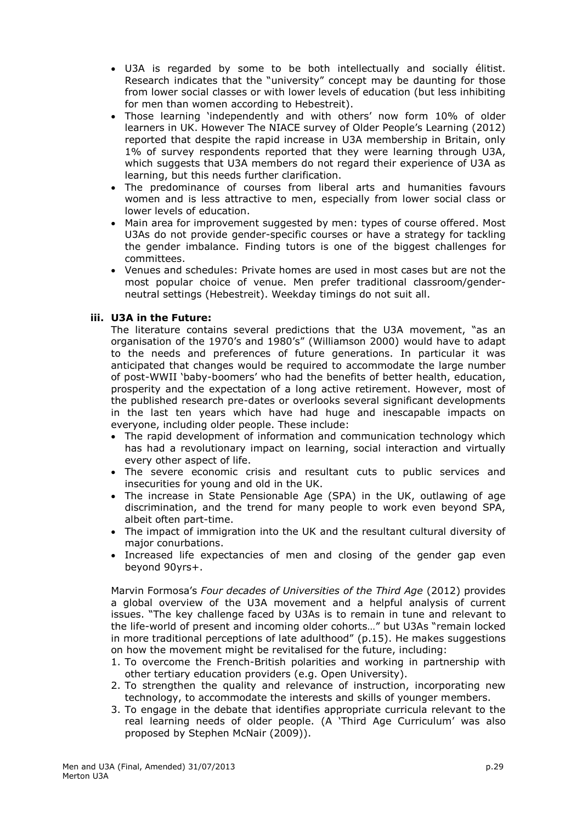- U3A is regarded by some to be both intellectually and socially élitist. Research indicates that the "university" concept may be daunting for those from lower social classes or with lower levels of education (but less inhibiting for men than women according to Hebestreit).
- Those learning 'independently and with others' now form 10% of older learners in UK. However The NIACE survey of Older People's Learning (2012) reported that despite the rapid increase in U3A membership in Britain, only 1% of survey respondents reported that they were learning through U3A, which suggests that U3A members do not regard their experience of U3A as learning, but this needs further clarification.
- The predominance of courses from liberal arts and humanities favours women and is less attractive to men, especially from lower social class or lower levels of education.
- Main area for improvement suggested by men: types of course offered. Most U3As do not provide gender-specific courses or have a strategy for tackling the gender imbalance. Finding tutors is one of the biggest challenges for committees.
- Venues and schedules: Private homes are used in most cases but are not the most popular choice of venue. Men prefer traditional classroom/genderneutral settings (Hebestreit). Weekday timings do not suit all.

### **iii. U3A in the Future:**

The literature contains several predictions that the U3A movement, "as an organisation of the 1970's and 1980's" (Williamson 2000) would have to adapt to the needs and preferences of future generations. In particular it was anticipated that changes would be required to accommodate the large number of post-WWII 'baby-boomers' who had the benefits of better health, education, prosperity and the expectation of a long active retirement. However, most of the published research pre-dates or overlooks several significant developments in the last ten years which have had huge and inescapable impacts on everyone, including older people. These include:

- The rapid development of information and communication technology which has had a revolutionary impact on learning, social interaction and virtually every other aspect of life.
- The severe economic crisis and resultant cuts to public services and insecurities for young and old in the UK.
- The increase in State Pensionable Age (SPA) in the UK, outlawing of age discrimination, and the trend for many people to work even beyond SPA, albeit often part-time.
- The impact of immigration into the UK and the resultant cultural diversity of major conurbations.
- Increased life expectancies of men and closing of the gender gap even beyond 90yrs+.

Marvin Formosa's *Four decades of Universities of the Third Age* (2012) provides a global overview of the U3A movement and a helpful analysis of current issues. "The key challenge faced by U3As is to remain in tune and relevant to the life-world of present and incoming older cohorts…" but U3As "remain locked in more traditional perceptions of late adulthood" (p.15). He makes suggestions on how the movement might be revitalised for the future, including:

- 1. To overcome the French-British polarities and working in partnership with other tertiary education providers (e.g. Open University).
- 2. To strengthen the quality and relevance of instruction, incorporating new technology, to accommodate the interests and skills of younger members.
- 3. To engage in the debate that identifies appropriate curricula relevant to the real learning needs of older people. (A 'Third Age Curriculum' was also proposed by Stephen McNair (2009)).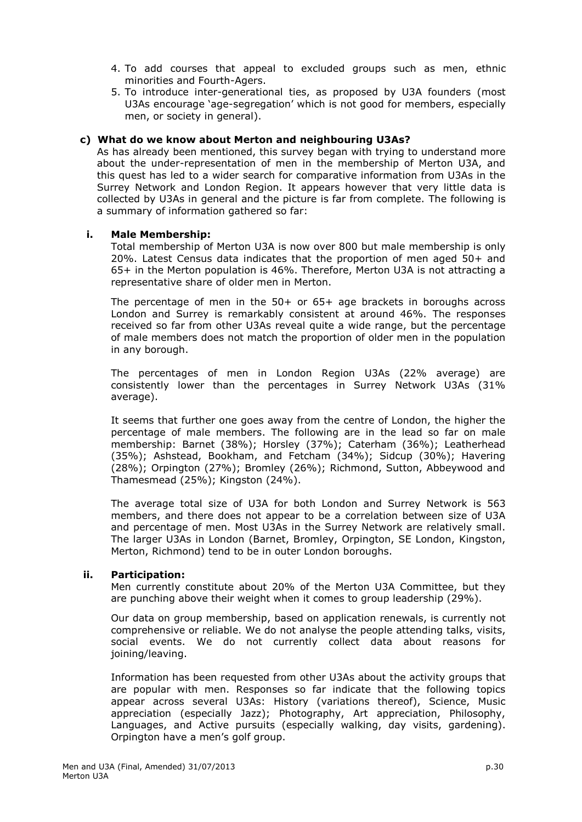- 4. To add courses that appeal to excluded groups such as men, ethnic minorities and Fourth-Agers.
- 5. To introduce inter-generational ties, as proposed by U3A founders (most U3As encourage 'age-segregation' which is not good for members, especially men, or society in general).

### **c) What do we know about Merton and neighbouring U3As?**

As has already been mentioned, this survey began with trying to understand more about the under-representation of men in the membership of Merton U3A, and this quest has led to a wider search for comparative information from U3As in the Surrey Network and London Region. It appears however that very little data is collected by U3As in general and the picture is far from complete. The following is a summary of information gathered so far:

### **i. Male Membership:**

Total membership of Merton U3A is now over 800 but male membership is only 20%. Latest Census data indicates that the proportion of men aged 50+ and 65+ in the Merton population is 46%. Therefore, Merton U3A is not attracting a representative share of older men in Merton.

The percentage of men in the 50+ or 65+ age brackets in boroughs across London and Surrey is remarkably consistent at around 46%. The responses received so far from other U3As reveal quite a wide range, but the percentage of male members does not match the proportion of older men in the population in any borough.

The percentages of men in London Region U3As (22% average) are consistently lower than the percentages in Surrey Network U3As (31% average).

It seems that further one goes away from the centre of London, the higher the percentage of male members. The following are in the lead so far on male membership: Barnet (38%); Horsley (37%); Caterham (36%); Leatherhead (35%); Ashstead, Bookham, and Fetcham (34%); Sidcup (30%); Havering (28%); Orpington (27%); Bromley (26%); Richmond, Sutton, Abbeywood and Thamesmead (25%); Kingston (24%).

The average total size of U3A for both London and Surrey Network is 563 members, and there does not appear to be a correlation between size of U3A and percentage of men. Most U3As in the Surrey Network are relatively small. The larger U3As in London (Barnet, Bromley, Orpington, SE London, Kingston, Merton, Richmond) tend to be in outer London boroughs.

### **ii. Participation:**

Men currently constitute about 20% of the Merton U3A Committee, but they are punching above their weight when it comes to group leadership (29%).

Our data on group membership, based on application renewals, is currently not comprehensive or reliable. We do not analyse the people attending talks, visits, social events. We do not currently collect data about reasons for joining/leaving.

Information has been requested from other U3As about the activity groups that are popular with men. Responses so far indicate that the following topics appear across several U3As: History (variations thereof), Science, Music appreciation (especially Jazz); Photography, Art appreciation, Philosophy, Languages, and Active pursuits (especially walking, day visits, gardening). Orpington have a men's golf group.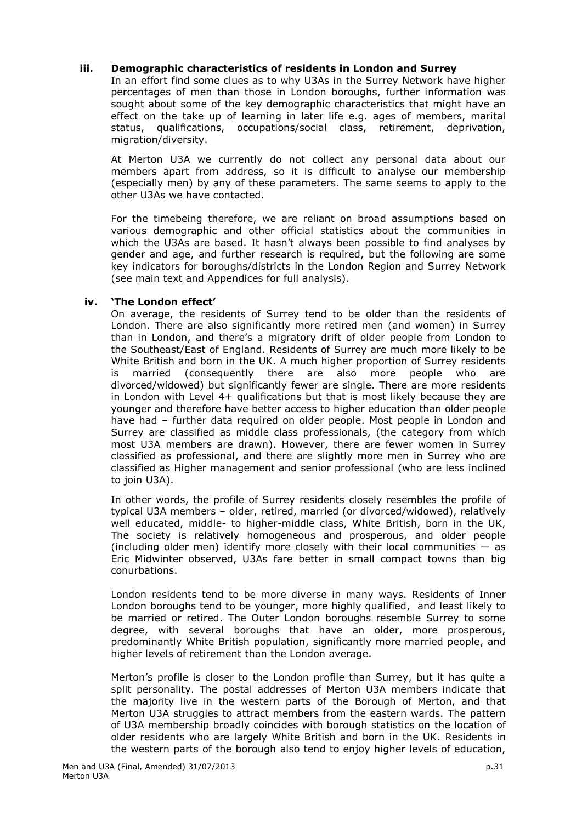### **iii. Demographic characteristics of residents in London and Surrey**

In an effort find some clues as to why U3As in the Surrey Network have higher percentages of men than those in London boroughs, further information was sought about some of the key demographic characteristics that might have an effect on the take up of learning in later life e.g. ages of members, marital status, qualifications, occupations/social class, retirement, deprivation, migration/diversity.

At Merton U3A we currently do not collect any personal data about our members apart from address, so it is difficult to analyse our membership (especially men) by any of these parameters. The same seems to apply to the other U3As we have contacted.

For the timebeing therefore, we are reliant on broad assumptions based on various demographic and other official statistics about the communities in which the U3As are based. It hasn't always been possible to find analyses by gender and age, and further research is required, but the following are some key indicators for boroughs/districts in the London Region and Surrey Network (see main text and Appendices for full analysis).

### **iv. 'The London effect'**

On average, the residents of Surrey tend to be older than the residents of London. There are also significantly more retired men (and women) in Surrey than in London, and there's a migratory drift of older people from London to the Southeast/East of England. Residents of Surrey are much more likely to be White British and born in the UK. A much higher proportion of Surrey residents is married (consequently there are also more people who are divorced/widowed) but significantly fewer are single. There are more residents in London with Level 4+ qualifications but that is most likely because they are younger and therefore have better access to higher education than older people have had – further data required on older people. Most people in London and Surrey are classified as middle class professionals, (the category from which most U3A members are drawn). However, there are fewer women in Surrey classified as professional, and there are slightly more men in Surrey who are classified as Higher management and senior professional (who are less inclined to join U3A).

In other words, the profile of Surrey residents closely resembles the profile of typical U3A members – older, retired, married (or divorced/widowed), relatively well educated, middle- to higher-middle class, White British, born in the UK, The society is relatively homogeneous and prosperous, and older people (including older men) identify more closely with their local communities  $-$  as Eric Midwinter observed, U3As fare better in small compact towns than big conurbations.

London residents tend to be more diverse in many ways. Residents of Inner London boroughs tend to be younger, more highly qualified, and least likely to be married or retired. The Outer London boroughs resemble Surrey to some degree, with several boroughs that have an older, more prosperous, predominantly White British population, significantly more married people, and higher levels of retirement than the London average.

Merton's profile is closer to the London profile than Surrey, but it has quite a split personality. The postal addresses of Merton U3A members indicate that the majority live in the western parts of the Borough of Merton, and that Merton U3A struggles to attract members from the eastern wards. The pattern of U3A membership broadly coincides with borough statistics on the location of older residents who are largely White British and born in the UK. Residents in the western parts of the borough also tend to enjoy higher levels of education,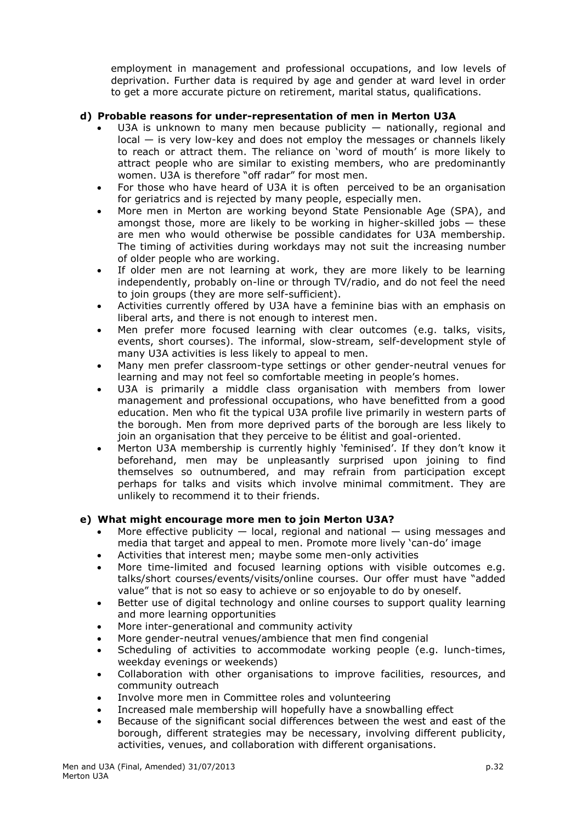employment in management and professional occupations, and low levels of deprivation. Further data is required by age and gender at ward level in order to get a more accurate picture on retirement, marital status, qualifications.

# **d) Probable reasons for under-representation of men in Merton U3A**

- U3A is unknown to many men because publicity nationally, regional and local — is very low-key and does not employ the messages or channels likely to reach or attract them. The reliance on 'word of mouth' is more likely to attract people who are similar to existing members, who are predominantly women. U3A is therefore "off radar" for most men.
- For those who have heard of U3A it is often perceived to be an organisation for geriatrics and is rejected by many people, especially men.
- More men in Merton are working beyond State Pensionable Age (SPA), and amongst those, more are likely to be working in higher-skilled jobs  $-$  these are men who would otherwise be possible candidates for U3A membership. The timing of activities during workdays may not suit the increasing number of older people who are working.
- If older men are not learning at work, they are more likely to be learning independently, probably on-line or through TV/radio, and do not feel the need to join groups (they are more self-sufficient).
- Activities currently offered by U3A have a feminine bias with an emphasis on liberal arts, and there is not enough to interest men.
- Men prefer more focused learning with clear outcomes (e.g. talks, visits, events, short courses). The informal, slow-stream, self-development style of many U3A activities is less likely to appeal to men.
- Many men prefer classroom-type settings or other gender-neutral venues for learning and may not feel so comfortable meeting in people's homes.
- U3A is primarily a middle class organisation with members from lower management and professional occupations, who have benefitted from a good education. Men who fit the typical U3A profile live primarily in western parts of the borough. Men from more deprived parts of the borough are less likely to join an organisation that they perceive to be élitist and goal-oriented.
- Merton U3A membership is currently highly 'feminised'. If they don't know it beforehand, men may be unpleasantly surprised upon joining to find themselves so outnumbered, and may refrain from participation except perhaps for talks and visits which involve minimal commitment. They are unlikely to recommend it to their friends.

## **e) What might encourage more men to join Merton U3A?**

- More effective publicity  $-$  local, regional and national  $-$  using messages and media that target and appeal to men. Promote more lively 'can-do' image
- Activities that interest men; maybe some men-only activities
- More time-limited and focused learning options with visible outcomes e.g. talks/short courses/events/visits/online courses. Our offer must have "added value" that is not so easy to achieve or so enjoyable to do by oneself.
- Better use of digital technology and online courses to support quality learning and more learning opportunities
- More inter-generational and community activity
- More gender-neutral venues/ambience that men find congenial
- Scheduling of activities to accommodate working people (e.g. lunch-times, weekday evenings or weekends)
- Collaboration with other organisations to improve facilities, resources, and community outreach
- Involve more men in Committee roles and volunteering
- Increased male membership will hopefully have a snowballing effect
- Because of the significant social differences between the west and east of the borough, different strategies may be necessary, involving different publicity, activities, venues, and collaboration with different organisations.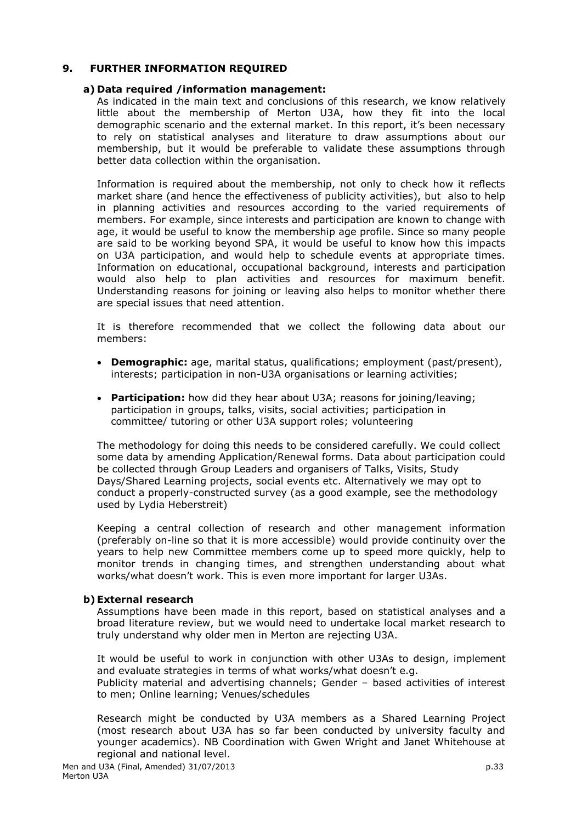## **9. FURTHER INFORMATION REQUIRED**

### **a) Data required /information management:**

As indicated in the main text and conclusions of this research, we know relatively little about the membership of Merton U3A, how they fit into the local demographic scenario and the external market. In this report, it's been necessary to rely on statistical analyses and literature to draw assumptions about our membership, but it would be preferable to validate these assumptions through better data collection within the organisation.

Information is required about the membership, not only to check how it reflects market share (and hence the effectiveness of publicity activities), but also to help in planning activities and resources according to the varied requirements of members. For example, since interests and participation are known to change with age, it would be useful to know the membership age profile. Since so many people are said to be working beyond SPA, it would be useful to know how this impacts on U3A participation, and would help to schedule events at appropriate times. Information on educational, occupational background, interests and participation would also help to plan activities and resources for maximum benefit. Understanding reasons for joining or leaving also helps to monitor whether there are special issues that need attention.

It is therefore recommended that we collect the following data about our members:

- **Demographic:** age, marital status, qualifications; employment (past/present), interests; participation in non-U3A organisations or learning activities;
- **Participation:** how did they hear about U3A; reasons for joining/leaving; participation in groups, talks, visits, social activities; participation in committee/ tutoring or other U3A support roles; volunteering

The methodology for doing this needs to be considered carefully. We could collect some data by amending Application/Renewal forms. Data about participation could be collected through Group Leaders and organisers of Talks, Visits, Study Days/Shared Learning projects, social events etc. Alternatively we may opt to conduct a properly-constructed survey (as a good example, see the methodology used by Lydia Heberstreit)

Keeping a central collection of research and other management information (preferably on-line so that it is more accessible) would provide continuity over the years to help new Committee members come up to speed more quickly, help to monitor trends in changing times, and strengthen understanding about what works/what doesn't work. This is even more important for larger U3As.

### **b)External research**

Assumptions have been made in this report, based on statistical analyses and a broad literature review, but we would need to undertake local market research to truly understand why older men in Merton are rejecting U3A.

It would be useful to work in conjunction with other U3As to design, implement and evaluate strategies in terms of what works/what doesn't e.g. Publicity material and advertising channels; Gender – based activities of interest to men; Online learning; Venues/schedules

Research might be conducted by U3A members as a Shared Learning Project (most research about U3A has so far been conducted by university faculty and younger academics). NB Coordination with Gwen Wright and Janet Whitehouse at regional and national level.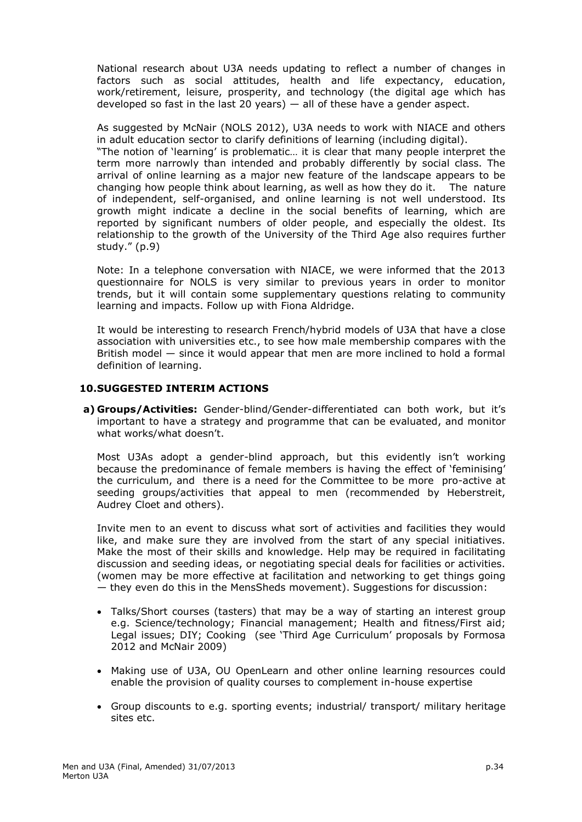National research about U3A needs updating to reflect a number of changes in factors such as social attitudes, health and life expectancy, education, work/retirement, leisure, prosperity, and technology (the digital age which has developed so fast in the last 20 years)  $-$  all of these have a gender aspect.

As suggested by McNair (NOLS 2012), U3A needs to work with NIACE and others in adult education sector to clarify definitions of learning (including digital).

"The notion of 'learning' is problematic… it is clear that many people interpret the term more narrowly than intended and probably differently by social class. The arrival of online learning as a major new feature of the landscape appears to be changing how people think about learning, as well as how they do it. The nature of independent, self-organised, and online learning is not well understood. Its growth might indicate a decline in the social benefits of learning, which are reported by significant numbers of older people, and especially the oldest. Its relationship to the growth of the University of the Third Age also requires further study." (p.9)

Note: In a telephone conversation with NIACE, we were informed that the 2013 questionnaire for NOLS is very similar to previous years in order to monitor trends, but it will contain some supplementary questions relating to community learning and impacts. Follow up with Fiona Aldridge.

It would be interesting to research French/hybrid models of U3A that have a close association with universities etc., to see how male membership compares with the British model — since it would appear that men are more inclined to hold a formal definition of learning.

### **10.SUGGESTED INTERIM ACTIONS**

**a) Groups/Activities:** Gender-blind/Gender-differentiated can both work, but it's important to have a strategy and programme that can be evaluated, and monitor what works/what doesn't.

Most U3As adopt a gender-blind approach, but this evidently isn't working because the predominance of female members is having the effect of 'feminising' the curriculum, and there is a need for the Committee to be more pro-active at seeding groups/activities that appeal to men (recommended by Heberstreit, Audrey Cloet and others).

Invite men to an event to discuss what sort of activities and facilities they would like, and make sure they are involved from the start of any special initiatives. Make the most of their skills and knowledge. Help may be required in facilitating discussion and seeding ideas, or negotiating special deals for facilities or activities. (women may be more effective at facilitation and networking to get things going — they even do this in the MensSheds movement). Suggestions for discussion:

- Talks/Short courses (tasters) that may be a way of starting an interest group e.g. Science/technology; Financial management; Health and fitness/First aid; Legal issues; DIY; Cooking (see 'Third Age Curriculum' proposals by Formosa 2012 and McNair 2009)
- Making use of U3A, OU OpenLearn and other online learning resources could enable the provision of quality courses to complement in-house expertise
- Group discounts to e.g. sporting events; industrial/ transport/ military heritage sites etc.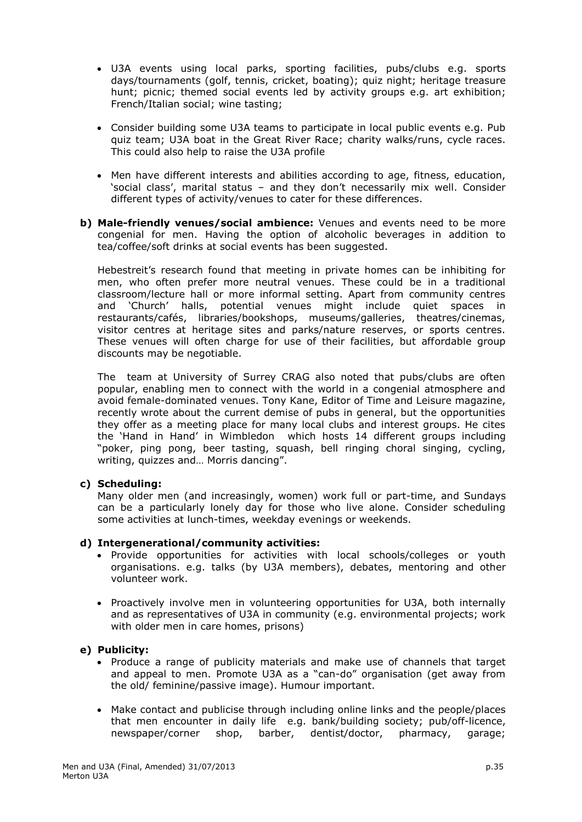- U3A events using local parks, sporting facilities, pubs/clubs e.g. sports days/tournaments (golf, tennis, cricket, boating); quiz night; heritage treasure hunt; picnic; themed social events led by activity groups e.g. art exhibition; French/Italian social; wine tasting;
- Consider building some U3A teams to participate in local public events e.g. Pub quiz team; U3A boat in the Great River Race; charity walks/runs, cycle races. This could also help to raise the U3A profile
- Men have different interests and abilities according to age, fitness, education, 'social class', marital status – and they don't necessarily mix well. Consider different types of activity/venues to cater for these differences.
- **b) Male-friendly venues/social ambience:** Venues and events need to be more congenial for men. Having the option of alcoholic beverages in addition to tea/coffee/soft drinks at social events has been suggested.

Hebestreit's research found that meeting in private homes can be inhibiting for men, who often prefer more neutral venues. These could be in a traditional classroom/lecture hall or more informal setting. Apart from community centres and 'Church' halls, potential venues might include quiet spaces in restaurants/cafés, libraries/bookshops, museums/galleries, theatres/cinemas, visitor centres at heritage sites and parks/nature reserves, or sports centres. These venues will often charge for use of their facilities, but affordable group discounts may be negotiable.

The team at University of Surrey CRAG also noted that pubs/clubs are often popular, enabling men to connect with the world in a congenial atmosphere and avoid female-dominated venues. Tony Kane, Editor of Time and Leisure magazine, recently wrote about the current demise of pubs in general, but the opportunities they offer as a meeting place for many local clubs and interest groups. He cites the 'Hand in Hand' in Wimbledon which hosts 14 different groups including "poker, ping pong, beer tasting, squash, bell ringing choral singing, cycling, writing, quizzes and… Morris dancing".

### **c) Scheduling:**

Many older men (and increasingly, women) work full or part-time, and Sundays can be a particularly lonely day for those who live alone. Consider scheduling some activities at lunch-times, weekday evenings or weekends.

### **d) Intergenerational/community activities:**

- Provide opportunities for activities with local schools/colleges or youth organisations. e.g. talks (by U3A members), debates, mentoring and other volunteer work.
- Proactively involve men in volunteering opportunities for U3A, both internally and as representatives of U3A in community (e.g. environmental projects; work with older men in care homes, prisons)

### **e) Publicity:**

- Produce a range of publicity materials and make use of channels that target and appeal to men. Promote U3A as a "can-do" organisation (get away from the old/ feminine/passive image). Humour important.
- Make contact and publicise through including online links and the people/places that men encounter in daily life e.g. bank/building society; pub/off-licence, newspaper/corner shop, barber, dentist/doctor, pharmacy, garage;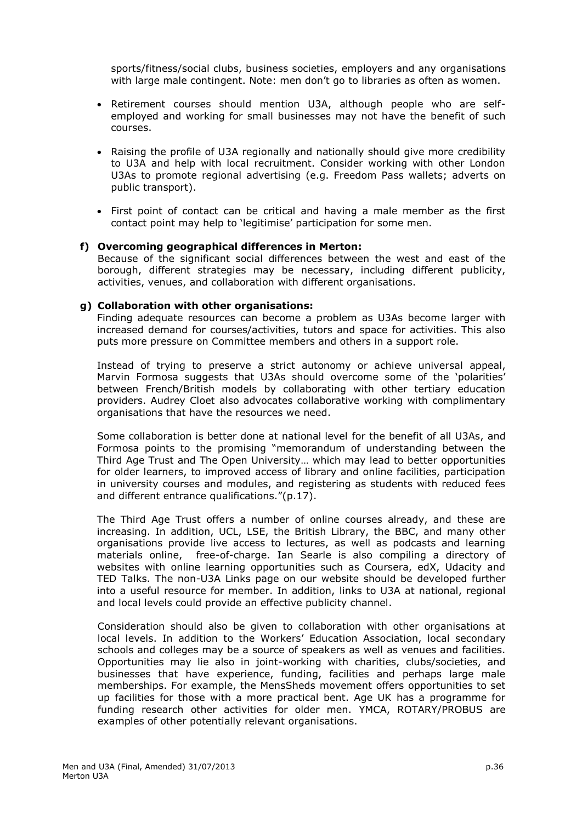sports/fitness/social clubs, business societies, employers and any organisations with large male contingent. Note: men don't go to libraries as often as women.

- Retirement courses should mention U3A, although people who are selfemployed and working for small businesses may not have the benefit of such courses.
- Raising the profile of U3A regionally and nationally should give more credibility to U3A and help with local recruitment. Consider working with other London U3As to promote regional advertising (e.g. Freedom Pass wallets; adverts on public transport).
- First point of contact can be critical and having a male member as the first contact point may help to 'legitimise' participation for some men.

#### **f) Overcoming geographical differences in Merton:**

Because of the significant social differences between the west and east of the borough, different strategies may be necessary, including different publicity, activities, venues, and collaboration with different organisations.

#### **g) Collaboration with other organisations:**

Finding adequate resources can become a problem as U3As become larger with increased demand for courses/activities, tutors and space for activities. This also puts more pressure on Committee members and others in a support role.

Instead of trying to preserve a strict autonomy or achieve universal appeal, Marvin Formosa suggests that U3As should overcome some of the 'polarities' between French/British models by collaborating with other tertiary education providers. Audrey Cloet also advocates collaborative working with complimentary organisations that have the resources we need.

Some collaboration is better done at national level for the benefit of all U3As, and Formosa points to the promising "memorandum of understanding between the Third Age Trust and The Open University… which may lead to better opportunities for older learners, to improved access of library and online facilities, participation in university courses and modules, and registering as students with reduced fees and different entrance qualifications."(p.17).

The Third Age Trust offers a number of online courses already, and these are increasing. In addition, UCL, LSE, the British Library, the BBC, and many other organisations provide live access to lectures, as well as podcasts and learning materials online, free-of-charge. Ian Searle is also compiling a directory of websites with online learning opportunities such as Coursera, edX, Udacity and TED Talks. The non-U3A Links page on our website should be developed further into a useful resource for member. In addition, links to U3A at national, regional and local levels could provide an effective publicity channel.

Consideration should also be given to collaboration with other organisations at local levels. In addition to the Workers' Education Association, local secondary schools and colleges may be a source of speakers as well as venues and facilities. Opportunities may lie also in joint-working with charities, clubs/societies, and businesses that have experience, funding, facilities and perhaps large male memberships. For example, the MensSheds movement offers opportunities to set up facilities for those with a more practical bent. Age UK has a programme for funding research other activities for older men. YMCA, ROTARY/PROBUS are examples of other potentially relevant organisations.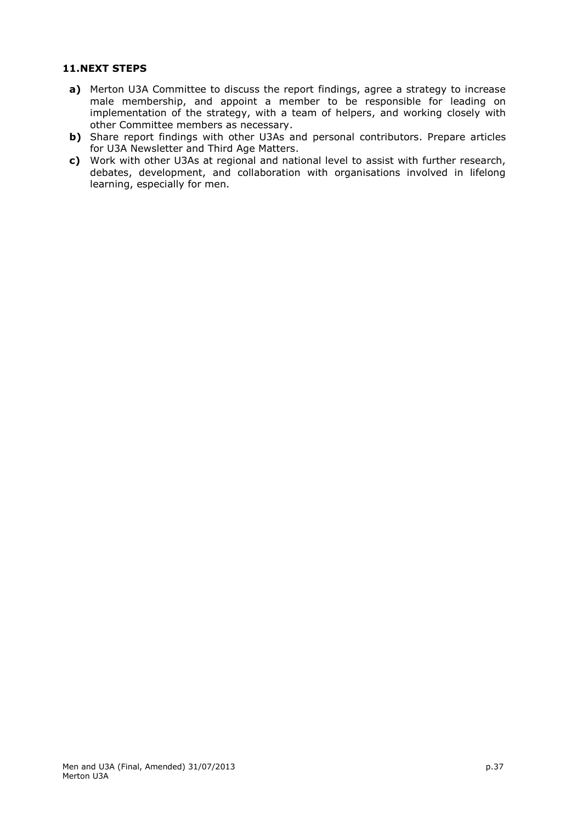## **11.NEXT STEPS**

- **a)** Merton U3A Committee to discuss the report findings, agree a strategy to increase male membership, and appoint a member to be responsible for leading on implementation of the strategy, with a team of helpers, and working closely with other Committee members as necessary.
- **b)** Share report findings with other U3As and personal contributors. Prepare articles for U3A Newsletter and Third Age Matters.
- **c)** Work with other U3As at regional and national level to assist with further research, debates, development, and collaboration with organisations involved in lifelong learning, especially for men.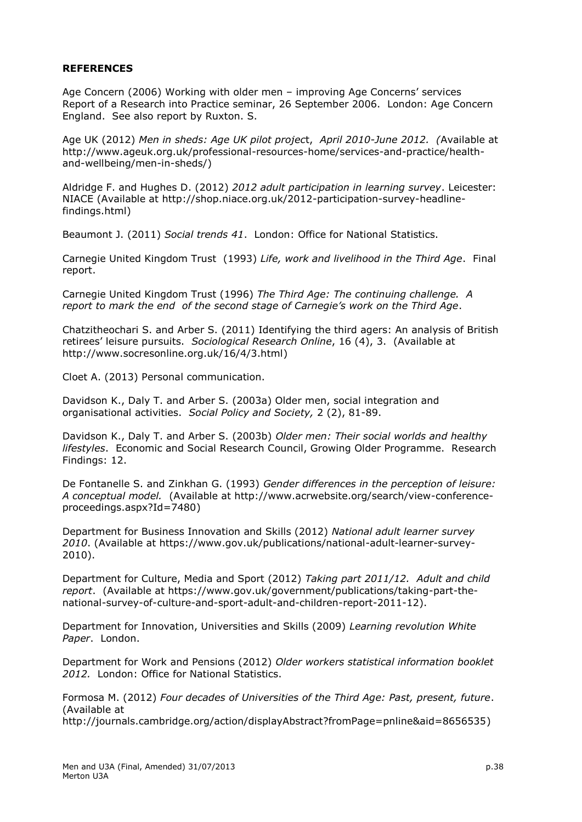### **REFERENCES**

Age Concern (2006) Working with older men – improving Age Concerns' services Report of a Research into Practice seminar, 26 September 2006. London: Age Concern England. See also report by Ruxton. S.

Age UK (2012) *Men in sheds: Age UK pilot projec*t, *April 2010-June 2012. (*Available at http://www.ageuk.org.uk/professional-resources-home/services-and-practice/healthand-wellbeing/men-in-sheds/)

Aldridge F. and Hughes D. (2012) *2012 adult participation in learning survey*. Leicester: NIACE (Available at http://shop.niace.org.uk/2012-participation-survey-headlinefindings.html)

Beaumont J. (2011) *Social trends 41*. London: Office for National Statistics.

Carnegie United Kingdom Trust (1993) *Life, work and livelihood in the Third Age*. Final report.

Carnegie United Kingdom Trust (1996) *The Third Age: The continuing challenge. A report to mark the end of the second stage of Carnegie's work on the Third Age*.

Chatzitheochari S. and Arber S. (2011) Identifying the third agers: An analysis of British retirees' leisure pursuits. *Sociological Research Online*, 16 (4), 3. (Available at http://www.socresonline.org.uk/16/4/3.html)

Cloet A. (2013) Personal communication.

Davidson K., Daly T. and Arber S. (2003a) Older men, social integration and organisational activities. *Social Policy and Society,* 2 (2), 81-89.

Davidson K., Daly T. and Arber S. (2003b) *Older men: Their social worlds and healthy lifestyles*. Economic and Social Research Council, Growing Older Programme. Research Findings: 12.

De Fontanelle S. and Zinkhan G. (1993) *Gender differences in the perception of leisure: A conceptual model.* (Available at http://www.acrwebsite.org/search/view-conferenceproceedings.aspx?Id=7480)

Department for Business Innovation and Skills (2012) *National adult learner survey 2010*. (Available at https://www.gov.uk/publications/national-adult-learner-survey-2010).

Department for Culture, Media and Sport (2012) *Taking part 2011/12. Adult and child report*. (Available at https://www.gov.uk/government/publications/taking-part-thenational-survey-of-culture-and-sport-adult-and-children-report-2011-12).

Department for Innovation, Universities and Skills (2009) *Learning revolution White Paper*. London.

Department for Work and Pensions (2012) *Older workers statistical information booklet 2012.* London: Office for National Statistics.

Formosa M. (2012) *Four decades of Universities of the Third Age: Past, present, future*. (Available at http://journals.cambridge.org/action/displayAbstract?fromPage=pnline&aid=8656535)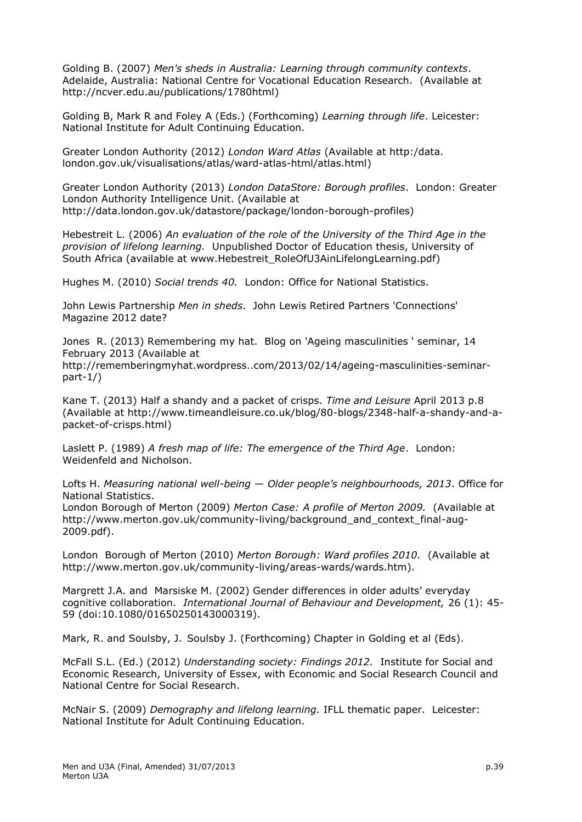Golding B. (2007) *Men's sheds in Australia: Learning through community contexts*. Adelaide, Australia: National Centre for Vocational Education Research. (Available at http://ncver.edu.au/publications/1780html)

Golding B, Mark R and Foley A (Eds.) (Forthcoming) *Learning through life*. Leicester: National Institute for Adult Continuing Education.

Greater London Authority (2012) *London Ward Atlas* (Available at http:/data. london.gov.uk/visualisations/atlas/ward-atlas-html/atlas.html)

Greater London Authority (2013) *London DataStore: Borough profiles*. London: Greater London Authority Intelligence Unit. (Available at http://data.london.gov.uk/datastore/package/london-borough-profiles)

Hebestreit L. (2006) *An evaluation of the role of the University of the Third Age in the provision of lifelong learning.* Unpublished Doctor of Education thesis, University of South Africa (available at www.Hebestreit\_RoleOfU3AinLifelongLearning.pdf)

Hughes M. (2010) *Social trends 40.* London: Office for National Statistics.

John Lewis Partnership *Men in sheds*. John Lewis Retired Partners 'Connections' Magazine 2012 date?

Jones R. (2013) Remembering my hat. Blog on 'Ageing masculinities ' seminar, 14 February 2013 (Available at http://rememberingmyhat.wordpress..com/2013/02/14/ageing-masculinities-seminarpart-1/)

Kane T. (2013) Half a shandy and a packet of crisps. *Time and Leisure* April 2013 p.8 (Available at http://www.timeandleisure.co.uk/blog/80-blogs/2348-half-a-shandy-and-apacket-of-crisps.html)

Laslett P. (1989) *A fresh map of life: The emergence of the Third Age*. London: Weidenfeld and Nicholson.

Lofts H. *Measuring national well-being — Older people's neighbourhoods, 2013*. Office for National Statistics.

London Borough of Merton (2009) *Merton Case: A profile of Merton 2009.* (Available at http://www.merton.gov.uk/community-living/background\_and\_context\_final-aug-2009.pdf).

London Borough of Merton (2010) *Merton Borough: Ward profiles 2010.* (Available at http://www.merton.gov.uk/community-living/areas-wards/wards.htm).

Margrett J.A. and Marsiske M. (2002) Gender differences in older adults' everyday cognitive collaboration. *International Journal of Behaviour and Development,* 26 (1): 45- 59 (doi:10.1080/01650250143000319).

Mark, R. and Soulsby, J. Soulsby J. (Forthcoming) Chapter in Golding et al (Eds).

McFall S.L. (Ed.) (2012) *Understanding society: Findings 2012.* Institute for Social and Economic Research, University of Essex, with Economic and Social Research Council and National Centre for Social Research.

McNair S. (2009) *Demography and lifelong learning.* IFLL thematic paper. Leicester: National Institute for Adult Continuing Education.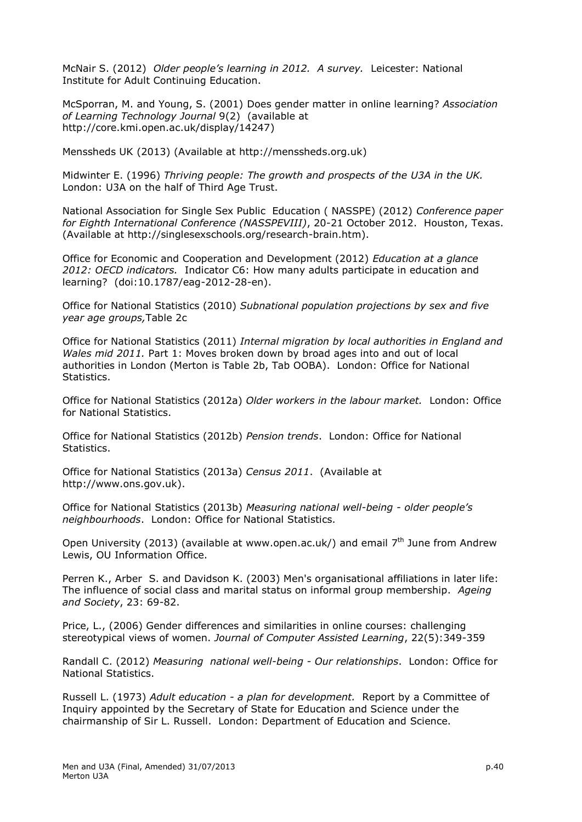McNair S. (2012) *Older people's learning in 2012. A survey.* Leicester: National Institute for Adult Continuing Education.

McSporran, M. and Young, S. (2001) Does gender matter in online learning? *Association of Learning Technology Journal* 9(2) (available at http://core.kmi.open.ac.uk/display/14247)

Menssheds UK (2013) (Available at http://menssheds.org.uk)

Midwinter E. (1996) *Thriving people: The growth and prospects of the U3A in the UK.* London: U3A on the half of Third Age Trust.

National Association for Single Sex Public Education ( NASSPE) (2012) *Conference paper for Eighth International Conference (NASSPEVIII)*, 20-21 October 2012. Houston, Texas. (Available at http://singlesexschools.org/research-brain.htm).

Office for Economic and Cooperation and Development (2012) *Education at a glance 2012: OECD indicators.* Indicator C6: How many adults participate in education and learning? (doi:10.1787/eag-2012-28-en).

Office for National Statistics (2010) *Subnational population projections by sex and five year age groups,*Table 2c

Office for National Statistics (2011) *Internal migration by local authorities in England and Wales mid 2011.* Part 1: Moves broken down by broad ages into and out of local authorities in London (Merton is Table 2b, Tab OOBA). London: Office for National Statistics.

Office for National Statistics (2012a) *Older workers in the labour market.* London: Office for National Statistics.

Office for National Statistics (2012b) *Pension trends*. London: Office for National Statistics.

Office for National Statistics (2013a) *Census 2011*. (Available at http://www.ons.gov.uk).

Office for National Statistics (2013b) *Measuring national well-being - older people's neighbourhoods*. London: Office for National Statistics.

Open University (2013) (available at www.open.ac.uk/) and email  $7<sup>th</sup>$  June from Andrew Lewis, OU Information Office.

Perren K., Arber S. and Davidson K. (2003) Men's organisational affiliations in later life: The influence of social class and marital status on informal group membership. *Ageing and Society*, 23: 69-82.

Price, L., (2006) Gender differences and similarities in online courses: challenging stereotypical views of women. *Journal of Computer Assisted Learning*, 22(5):349-359

Randall C. (2012) *Measuring national well-being - Our relationships*. London: Office for National Statistics.

Russell L. (1973) *Adult education - a plan for development.* Report by a Committee of Inquiry appointed by the Secretary of State for Education and Science under the chairmanship of Sir L. Russell. London: Department of Education and Science.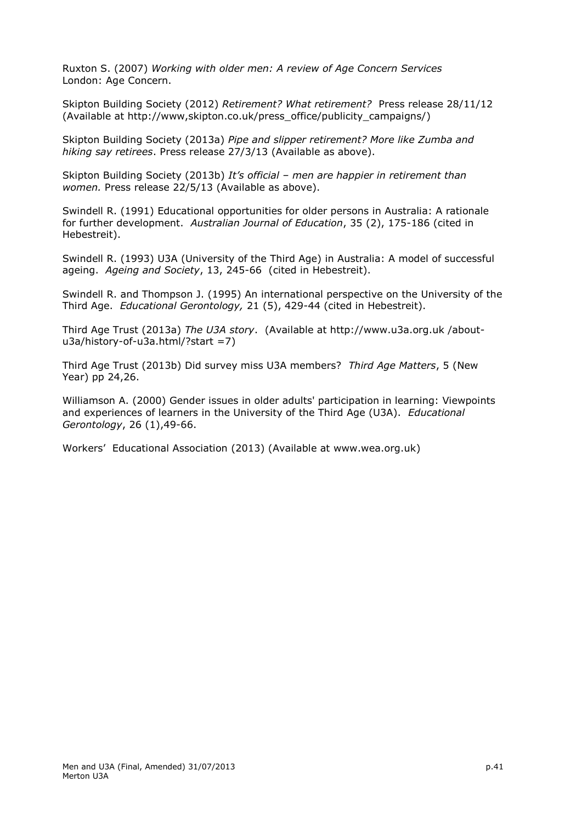Ruxton S. (2007) *Working with older men: A review of Age Concern Services* London: Age Concern.

Skipton Building Society (2012) *Retirement? What retirement?* Press release 28/11/12 (Available at http://www,skipton.co.uk/press\_office/publicity\_campaigns/)

Skipton Building Society (2013a) *Pipe and slipper retirement? More like Zumba and hiking say retirees*. Press release 27/3/13 (Available as above).

Skipton Building Society (2013b) *It's official – men are happier in retirement than women.* Press release 22/5/13 (Available as above).

Swindell R. (1991) Educational opportunities for older persons in Australia: A rationale for further development. *Australian Journal of Education*, 35 (2), 175-186 (cited in Hebestreit).

Swindell R. (1993) U3A (University of the Third Age) in Australia: A model of successful ageing. *Ageing and Society*, 13, 245-66 (cited in Hebestreit).

Swindell R. and Thompson J. (1995) An international perspective on the University of the Third Age. *Educational Gerontology,* 21 (5), 429-44 (cited in Hebestreit).

Third Age Trust (2013a) *The U3A story*. (Available at http://www.u3a.org.uk /aboutu3a/history-of-u3a.html/?start =7)

Third Age Trust (2013b) Did survey miss U3A members? *Third Age Matters*, 5 (New Year) pp 24,26.

Williamson A. (2000) Gender issues in older adults' participation in learning: Viewpoints and experiences of learners in the University of the Third Age (U3A). *Educational Gerontology*, 26 (1),49-66.

Workers' Educational Association (2013) (Available at www.wea.org.uk)